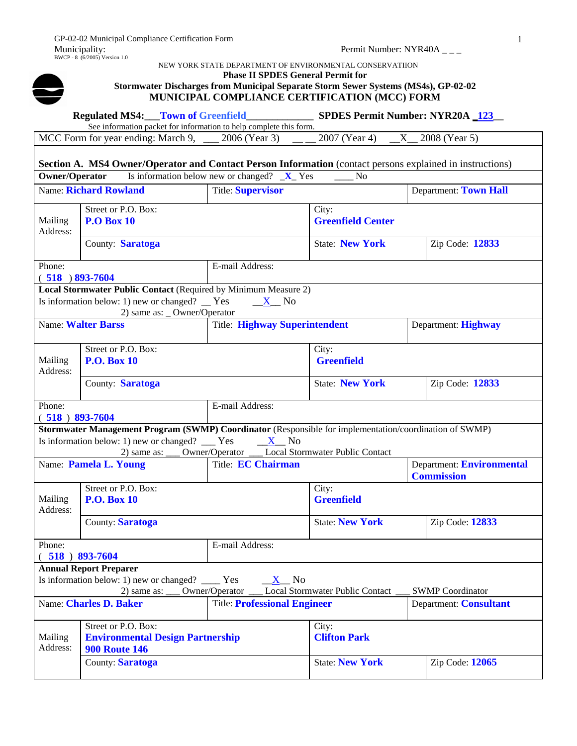

## NEW YORK STATE DEPARTMENT OF ENVIRONMENTAL CONSERVATIION

**Regulated MS4:\_\_\_Town of Greenfield\_\_\_\_\_\_\_\_\_\_\_\_\_ SPDES Permit Number: NYR20A \_123\_\_** 

#### **Phase II SPDES General Permit for**

### **Stormwater Discharges from Municipal Separate Storm Sewer Systems (MS4s), GP-02-02 MUNICIPAL COMPLIANCE CERTIFICATION (MCC) FORM**

|                              |                                                                                                                                                          | See information packet for information to help complete this form. |                                   |                                                |
|------------------------------|----------------------------------------------------------------------------------------------------------------------------------------------------------|--------------------------------------------------------------------|-----------------------------------|------------------------------------------------|
|                              | MCC Form for year ending: March 9,                                                                                                                       | 2006 (Year 3)                                                      | 2007 (Year 4)<br>X.               | 2008 (Year 5)                                  |
|                              | Section A. MS4 Owner/Operator and Contact Person Information (contact persons explained in instructions)                                                 |                                                                    |                                   |                                                |
| <b>Owner/Operator</b>        |                                                                                                                                                          | Is information below new or changed? $X$ Yes                       | N <sub>o</sub>                    |                                                |
|                              | Name: Richard Rowland                                                                                                                                    | <b>Title: Supervisor</b>                                           |                                   | Department: Town Hall                          |
| Mailing<br>Address:          | Street or P.O. Box:<br><b>P.O Box 10</b>                                                                                                                 |                                                                    | City:<br><b>Greenfield Center</b> |                                                |
|                              | County: Saratoga                                                                                                                                         |                                                                    | <b>State: New York</b>            | Zip Code: 12833                                |
| Phone:<br>$(518) 893 - 7604$ |                                                                                                                                                          | E-mail Address:                                                    |                                   |                                                |
|                              | Local Stormwater Public Contact (Required by Minimum Measure 2)<br>Is information below: 1) new or changed? $\Gamma$ Yes<br>2) same as: _ Owner/Operator | $X$ No                                                             |                                   |                                                |
|                              | <b>Name: Walter Barss</b>                                                                                                                                | <b>Title: Highway Superintendent</b>                               |                                   | Department: Highway                            |
| Mailing<br>Address:          | Street or P.O. Box:<br><b>P.O. Box 10</b>                                                                                                                |                                                                    | City:<br><b>Greenfield</b>        |                                                |
|                              | County: Saratoga                                                                                                                                         |                                                                    | <b>State: New York</b>            | Zip Code: 12833                                |
| Phone:                       |                                                                                                                                                          | E-mail Address:                                                    |                                   |                                                |
| $(518) 893 - 7604$           |                                                                                                                                                          |                                                                    |                                   |                                                |
|                              |                                                                                                                                                          |                                                                    |                                   |                                                |
|                              | Stormwater Management Program (SWMP) Coordinator (Responsible for implementation/coordination of SWMP)                                                   |                                                                    |                                   |                                                |
|                              | Is information below: 1) new or changed? __ Yes                                                                                                          | X No                                                               |                                   |                                                |
|                              | $2)$ same as:                                                                                                                                            | Owner/Operator _                                                   | Local Stormwater Public Contact   |                                                |
|                              | Name: Pamela L. Young                                                                                                                                    | Title: <b>EC Chairman</b>                                          |                                   | Department: Environmental<br><b>Commission</b> |
|                              | Street or P.O. Box:                                                                                                                                      |                                                                    | City:                             |                                                |
| Mailing<br>Address:          | <b>P.O. Box 10</b>                                                                                                                                       |                                                                    | <b>Greenfield</b>                 |                                                |
|                              | County: Saratoga                                                                                                                                         |                                                                    | <b>State: New York</b>            | Zip Code: 12833                                |
| Phone:                       |                                                                                                                                                          | E-mail Address:                                                    |                                   |                                                |
|                              | 518) 893-7604                                                                                                                                            |                                                                    |                                   |                                                |
|                              | <b>Annual Report Preparer</b>                                                                                                                            |                                                                    |                                   |                                                |
|                              | Is information below: 1) new or changed? ____ Yes                                                                                                        | X No                                                               |                                   |                                                |
|                              | 2) same as:                                                                                                                                              | Owner/Operator                                                     | Local Stormwater Public Contact   | <b>SWMP</b> Coordinator                        |
|                              | Name: Charles D. Baker                                                                                                                                   | <b>Title: Professional Engineer</b>                                |                                   | Department: Consultant                         |
|                              | Street or P.O. Box:                                                                                                                                      |                                                                    | City:                             |                                                |
| Mailing<br>Address:          | <b>Environmental Design Partnership</b><br><b>900 Route 146</b>                                                                                          |                                                                    | <b>Clifton Park</b>               |                                                |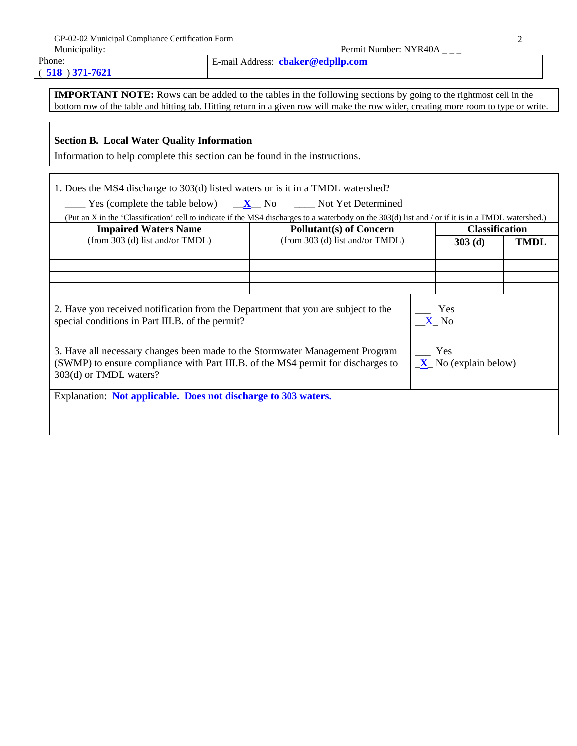Phone: ( **518** ) **371-7621** E-mail Address: **cbaker@edpllp.com**

**IMPORTANT NOTE:** Rows can be added to the tables in the following sections by going to the rightmost cell in the bottom row of the table and hitting tab. Hitting return in a given row will make the row wider, creating more room to type or write.

# **Section B. Local Water Quality Information**

Information to help complete this section can be found in the instructions.

1. Does the MS4 discharge to 303(d) listed waters or is it in a TMDL watershed?

| Yes (complete the table below) | $\mathbf{X}$ No | Not Yet Determined |
|--------------------------------|-----------------|--------------------|
|--------------------------------|-----------------|--------------------|

| (Put an X in the 'Classification' cell to indicate if the MS4 discharges to a waterbody on the 303(d) list and / or if it is in a TMDL watershed.)                                         |                                 |                               |             |
|--------------------------------------------------------------------------------------------------------------------------------------------------------------------------------------------|---------------------------------|-------------------------------|-------------|
| <b>Impaired Waters Name</b>                                                                                                                                                                | <b>Pollutant(s) of Concern</b>  | <b>Classification</b>         |             |
| (from 303 (d) list and/or TMDL)                                                                                                                                                            | (from 303 (d) list and/or TMDL) | 303(d)                        | <b>TMDL</b> |
|                                                                                                                                                                                            |                                 |                               |             |
|                                                                                                                                                                                            |                                 |                               |             |
|                                                                                                                                                                                            |                                 |                               |             |
|                                                                                                                                                                                            |                                 |                               |             |
| 2. Have you received notification from the Department that you are subject to the<br>special conditions in Part III.B. of the permit?                                                      |                                 | Yes<br>X No                   |             |
| 3. Have all necessary changes been made to the Stormwater Management Program<br>(SWMP) to ensure compliance with Part III.B. of the MS4 permit for discharges to<br>303(d) or TMDL waters? |                                 | Yes<br>$X$ No (explain below) |             |
| Explanation: Not applicable. Does not discharge to 303 waters.                                                                                                                             |                                 |                               |             |
|                                                                                                                                                                                            |                                 |                               |             |
|                                                                                                                                                                                            |                                 |                               |             |
|                                                                                                                                                                                            |                                 |                               |             |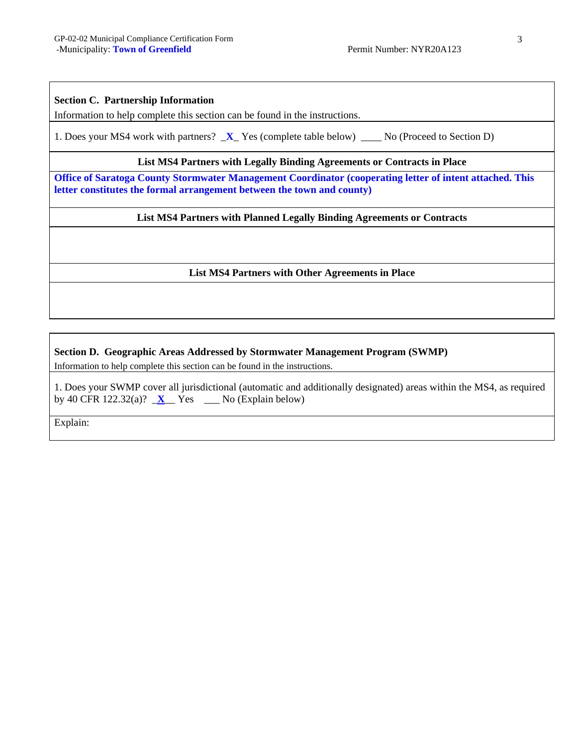#### **Section C. Partnership Information**

Information to help complete this section can be found in the instructions.

1. Does your MS4 work with partners?  $\bf{X}$  Yes (complete table below)  $\bf{N}$  (Proceed to Section D)

#### **List MS4 Partners with Legally Binding Agreements or Contracts in Place**

**Office of Saratoga County Stormwater Management Coordinator (cooperating letter of intent attached. This letter constitutes the formal arrangement between the town and county)**

### **List MS4 Partners with Planned Legally Binding Agreements or Contracts**

#### **List MS4 Partners with Other Agreements in Place**

#### **Section D. Geographic Areas Addressed by Stormwater Management Program (SWMP)**

Information to help complete this section can be found in the instructions.

1. Does your SWMP cover all jurisdictional (automatic and additionally designated) areas within the MS4, as required by 40 CFR 122.32(a)?  $X$  Yes  $\qquad$  No (Explain below)

Explain: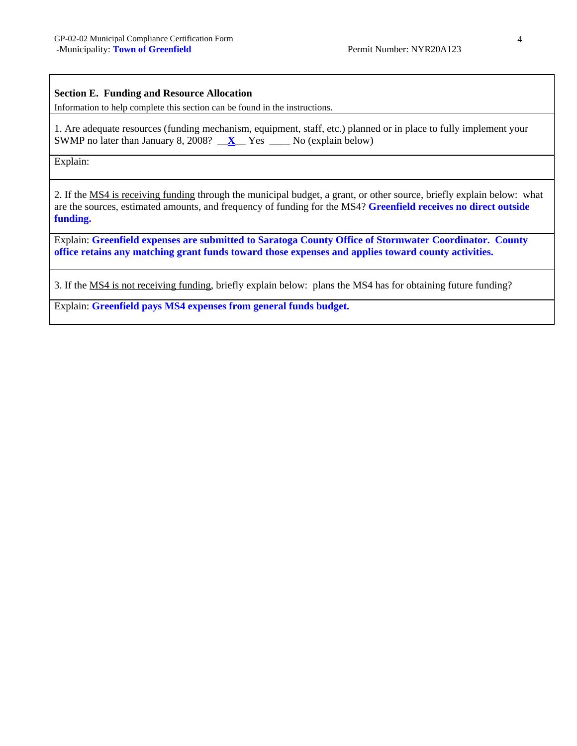#### **Section E. Funding and Resource Allocation**

Information to help complete this section can be found in the instructions.

1. Are adequate resources (funding mechanism, equipment, staff, etc.) planned or in place to fully implement your SWMP no later than January 8, 2008? \_\_**X**\_\_ Yes \_\_\_\_ No (explain below)

Explain:

2. If the MS4 is receiving funding through the municipal budget, a grant, or other source, briefly explain below: what are the sources, estimated amounts, and frequency of funding for the MS4? **Greenfield receives no direct outside funding.** 

Explain: **Greenfield expenses are submitted to Saratoga County Office of Stormwater Coordinator. County office retains any matching grant funds toward those expenses and applies toward county activities.** 

3. If the MS4 is not receiving funding, briefly explain below: plans the MS4 has for obtaining future funding?

Explain: **Greenfield pays MS4 expenses from general funds budget.**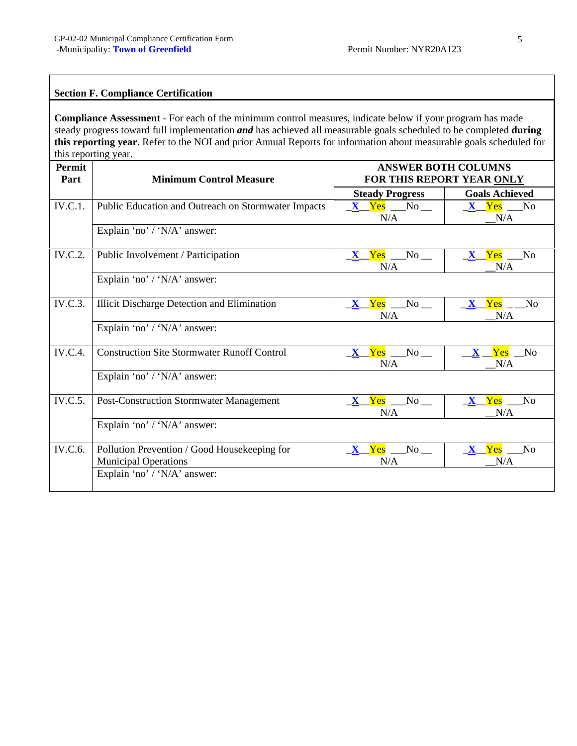# **Section F. Compliance Certification**

**Compliance Assessment** - For each of the minimum control measures, indicate below if your program has made steady progress toward full implementation *and* has achieved all measurable goals scheduled to be completed **during this reporting year**. Refer to the NOI and prior Annual Reports for information about measurable goals scheduled for this reporting year.

| Permit<br>Part | <b>Minimum Control Measure</b>                                              |                                  | <b>ANSWER BOTH COLUMNS</b><br>FOR THIS REPORT YEAR ONLY |
|----------------|-----------------------------------------------------------------------------|----------------------------------|---------------------------------------------------------|
|                |                                                                             | <b>Steady Progress</b>           | <b>Goals Achieved</b>                                   |
| <b>IV.C.1.</b> | Public Education and Outreach on Stormwater Impacts                         | $X$ Yes No $\Box$<br>N/A         | $X$ Yes No<br>N/A                                       |
|                | Explain 'no' / 'N/A' answer:                                                |                                  |                                                         |
| <b>IV.C.2.</b> | Public Involvement / Participation                                          | $X$ $Yes$ $No$ $\Box$<br>N/A     | X Yes No<br>N/A                                         |
|                | Explain 'no' / 'N/A' answer:                                                |                                  |                                                         |
| <b>IV.C.3.</b> | <b>Illicit Discharge Detection and Elimination</b>                          | $X$ Yes No $\blacksquare$<br>N/A | X Yes No<br>N/A                                         |
|                | Explain 'no' / 'N/A' answer:                                                |                                  |                                                         |
| <b>IV.C.4.</b> | <b>Construction Site Stormwater Runoff Control</b>                          | $X$ Yes No $\blacksquare$<br>N/A | $X$ $Yes$ $No$<br>N/A                                   |
|                | Explain 'no' / 'N/A' answer:                                                |                                  |                                                         |
| <b>IV.C.5.</b> | <b>Post-Construction Stormwater Management</b>                              | $X$ Yes No $\blacksquare$<br>N/A | <b>X</b> Yes No<br>N/A                                  |
|                | Explain 'no' / 'N/A' answer:                                                |                                  |                                                         |
| IV.C.6.        | Pollution Prevention / Good Housekeeping for<br><b>Municipal Operations</b> | $X$ Yes No $\blacksquare$<br>N/A | X Yes No<br>N/A                                         |
|                | Explain 'no' / 'N/A' answer:                                                |                                  |                                                         |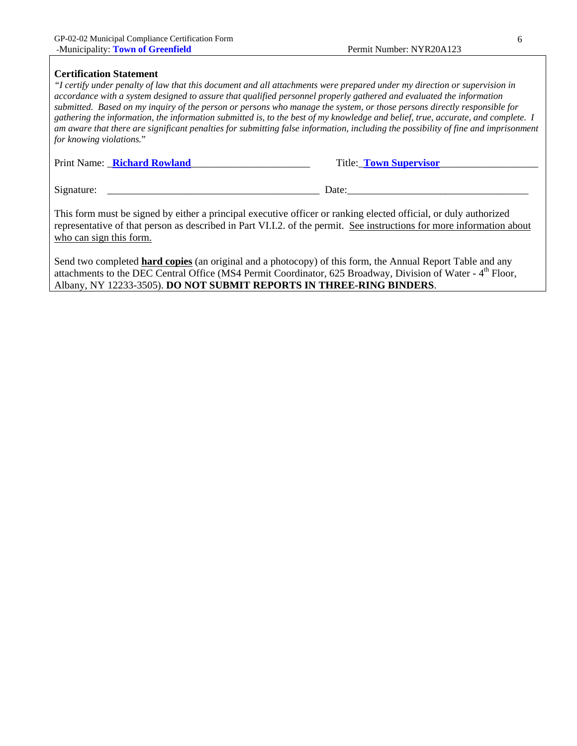#### **Certification Statement**

*"I certify under penalty of law that this document and all attachments were prepared under my direction or supervision in accordance with a system designed to assure that qualified personnel properly gathered and evaluated the information submitted. Based on my inquiry of the person or persons who manage the system, or those persons directly responsible for gathering the information, the information submitted is, to the best of my knowledge and belief, true, accurate, and complete. I am aware that there are significant penalties for submitting false information, including the possibility of fine and imprisonment for knowing violations.*"

| Print Name: <b>Richard Rowland</b> | Title: <b>Town Supervisor</b> |
|------------------------------------|-------------------------------|
| Signature:                         | Date:                         |

This form must be signed by either a principal executive officer or ranking elected official, or duly authorized representative of that person as described in Part VI.I.2. of the permit. See instructions for more information about who can sign this form.

Send two completed **hard copies** (an original and a photocopy) of this form, the Annual Report Table and any attachments to the DEC Central Office (MS4 Permit Coordinator,  $625$  Broadway, Division of Water -  $4<sup>th</sup>$  Floor, Albany, NY 12233-3505). **DO NOT SUBMIT REPORTS IN THREE-RING BINDERS**.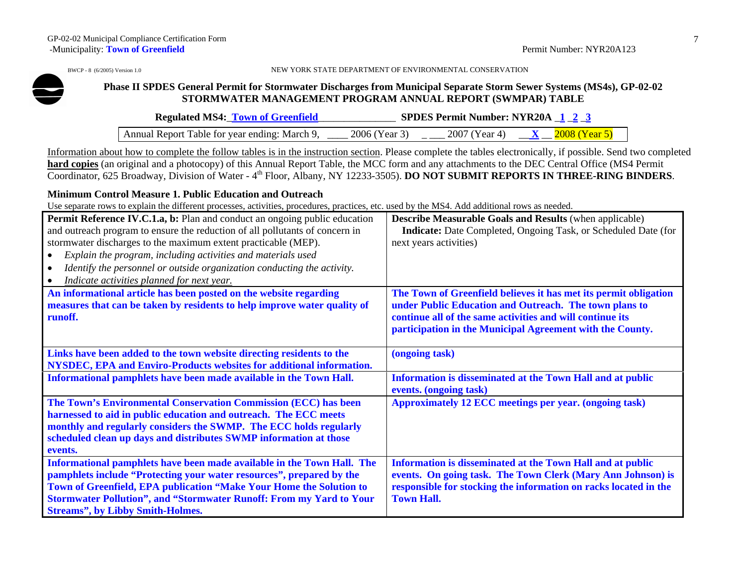BWCP - 8 (6/2005) Version 1.0 NEW YORK STATE DEPARTMENT OF ENVIRONMENTAL CONSERVATION

### **Phase II SPDES General Permit for Stormwater Discharges from Municipal Separate Storm Sewer Systems (MS4s), GP-02-02 STORMWATER MANAGEMENT PROGRAM ANNUAL REPORT (SWMPAR) TABLE**

| <b>Regulated MS4: Town of Greenfield</b>           |               | <b>SPDES Permit Number: NYR20A 1 23</b> |                                      |  |
|----------------------------------------------------|---------------|-----------------------------------------|--------------------------------------|--|
| Annual Report Table for year ending: March 9, ____ | 2006 (Year 3) |                                         | $-2007$ (Year 4) $X = 2008$ (Year 5) |  |

Information about how to complete the follow tables is in the instruction section. Please complete the tables electronically, if possible. Send two completed **hard copies** (an original and a photocopy) of this Annual Report Table, the MCC form and any attachments to the DEC Central Office (MS4 Permit Coordinator, 625 Broadway, Division of Water - 4th Floor, Albany, NY 12233-3505). **DO NOT SUBMIT REPORTS IN THREE-RING BINDERS**.

### **Minimum Control Measure 1. Public Education and Outreach**

| Permit Reference IV.C.1.a, b: Plan and conduct an ongoing public education<br>and outreach program to ensure the reduction of all pollutants of concern in<br>stormwater discharges to the maximum extent practicable (MEP).<br>Explain the program, including activities and materials used<br>Identify the personnel or outside organization conducting the activity.<br>Indicate activities planned for next year. | <b>Describe Measurable Goals and Results (when applicable)</b><br><b>Indicate:</b> Date Completed, Ongoing Task, or Scheduled Date (for<br>next years activities) |
|-----------------------------------------------------------------------------------------------------------------------------------------------------------------------------------------------------------------------------------------------------------------------------------------------------------------------------------------------------------------------------------------------------------------------|-------------------------------------------------------------------------------------------------------------------------------------------------------------------|
| An informational article has been posted on the website regarding<br>measures that can be taken by residents to help improve water quality of                                                                                                                                                                                                                                                                         | The Town of Greenfield believes it has met its permit obligation<br>under Public Education and Outreach. The town plans to                                        |
| runoff.                                                                                                                                                                                                                                                                                                                                                                                                               | continue all of the same activities and will continue its                                                                                                         |
|                                                                                                                                                                                                                                                                                                                                                                                                                       | participation in the Municipal Agreement with the County.                                                                                                         |
| Links have been added to the town website directing residents to the                                                                                                                                                                                                                                                                                                                                                  | (ongoing task)                                                                                                                                                    |
| NYSDEC, EPA and Enviro-Products websites for additional information.                                                                                                                                                                                                                                                                                                                                                  |                                                                                                                                                                   |
| Informational pamphlets have been made available in the Town Hall.                                                                                                                                                                                                                                                                                                                                                    | Information is disseminated at the Town Hall and at public<br>events. (ongoing task)                                                                              |
| The Town's Environmental Conservation Commission (ECC) has been                                                                                                                                                                                                                                                                                                                                                       | <b>Approximately 12 ECC meetings per year. (ongoing task)</b>                                                                                                     |
| harnessed to aid in public education and outreach. The ECC meets                                                                                                                                                                                                                                                                                                                                                      |                                                                                                                                                                   |
| monthly and regularly considers the SWMP. The ECC holds regularly                                                                                                                                                                                                                                                                                                                                                     |                                                                                                                                                                   |
| scheduled clean up days and distributes SWMP information at those                                                                                                                                                                                                                                                                                                                                                     |                                                                                                                                                                   |
| events.                                                                                                                                                                                                                                                                                                                                                                                                               |                                                                                                                                                                   |
| Informational pamphlets have been made available in the Town Hall. The                                                                                                                                                                                                                                                                                                                                                | Information is disseminated at the Town Hall and at public                                                                                                        |
| pamphlets include "Protecting your water resources", prepared by the                                                                                                                                                                                                                                                                                                                                                  | events. On going task. The Town Clerk (Mary Ann Johnson) is                                                                                                       |
| Town of Greenfield, EPA publication "Make Your Home the Solution to                                                                                                                                                                                                                                                                                                                                                   | responsible for stocking the information on racks located in the                                                                                                  |
| <b>Stormwater Pollution", and "Stormwater Runoff: From my Yard to Your</b>                                                                                                                                                                                                                                                                                                                                            | <b>Town Hall.</b>                                                                                                                                                 |
| <b>Streams", by Libby Smith-Holmes.</b>                                                                                                                                                                                                                                                                                                                                                                               |                                                                                                                                                                   |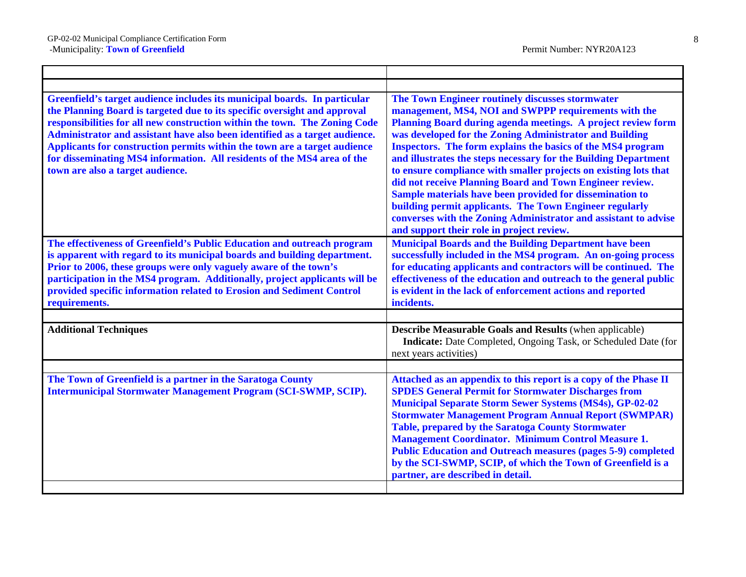| Greenfield's target audience includes its municipal boards. In particular<br>the Planning Board is targeted due to its specific oversight and approval<br>responsibilities for all new construction within the town. The Zoning Code<br>Administrator and assistant have also been identified as a target audience.<br>Applicants for construction permits within the town are a target audience<br>for disseminating MS4 information. All residents of the MS4 area of the<br>town are also a target audience. | The Town Engineer routinely discusses stormwater<br>management, MS4, NOI and SWPPP requirements with the<br>Planning Board during agenda meetings. A project review form<br>was developed for the Zoning Administrator and Building<br>Inspectors. The form explains the basics of the MS4 program<br>and illustrates the steps necessary for the Building Department<br>to ensure compliance with smaller projects on existing lots that<br>did not receive Planning Board and Town Engineer review.<br>Sample materials have been provided for dissemination to<br>building permit applicants. The Town Engineer regularly<br>converses with the Zoning Administrator and assistant to advise<br>and support their role in project review. |
|-----------------------------------------------------------------------------------------------------------------------------------------------------------------------------------------------------------------------------------------------------------------------------------------------------------------------------------------------------------------------------------------------------------------------------------------------------------------------------------------------------------------|----------------------------------------------------------------------------------------------------------------------------------------------------------------------------------------------------------------------------------------------------------------------------------------------------------------------------------------------------------------------------------------------------------------------------------------------------------------------------------------------------------------------------------------------------------------------------------------------------------------------------------------------------------------------------------------------------------------------------------------------|
| The effectiveness of Greenfield's Public Education and outreach program<br>is apparent with regard to its municipal boards and building department.<br>Prior to 2006, these groups were only vaguely aware of the town's<br>participation in the MS4 program. Additionally, project applicants will be<br>provided specific information related to Erosion and Sediment Control<br>requirements.                                                                                                                | <b>Municipal Boards and the Building Department have been</b><br>successfully included in the MS4 program. An on-going process<br>for educating applicants and contractors will be continued. The<br>effectiveness of the education and outreach to the general public<br>is evident in the lack of enforcement actions and reported<br>incidents.                                                                                                                                                                                                                                                                                                                                                                                           |
|                                                                                                                                                                                                                                                                                                                                                                                                                                                                                                                 |                                                                                                                                                                                                                                                                                                                                                                                                                                                                                                                                                                                                                                                                                                                                              |
| <b>Additional Techniques</b>                                                                                                                                                                                                                                                                                                                                                                                                                                                                                    | <b>Describe Measurable Goals and Results (when applicable)</b><br>Indicate: Date Completed, Ongoing Task, or Scheduled Date (for<br>next years activities)                                                                                                                                                                                                                                                                                                                                                                                                                                                                                                                                                                                   |
|                                                                                                                                                                                                                                                                                                                                                                                                                                                                                                                 |                                                                                                                                                                                                                                                                                                                                                                                                                                                                                                                                                                                                                                                                                                                                              |
| The Town of Greenfield is a partner in the Saratoga County<br><b>Intermunicipal Stormwater Management Program (SCI-SWMP, SCIP).</b>                                                                                                                                                                                                                                                                                                                                                                             | Attached as an appendix to this report is a copy of the Phase II<br><b>SPDES General Permit for Stormwater Discharges from</b><br><b>Municipal Separate Storm Sewer Systems (MS4s), GP-02-02</b><br><b>Stormwater Management Program Annual Report (SWMPAR)</b><br><b>Table, prepared by the Saratoga County Stormwater</b><br><b>Management Coordinator. Minimum Control Measure 1.</b><br><b>Public Education and Outreach measures (pages 5-9) completed</b><br>by the SCI-SWMP, SCIP, of which the Town of Greenfield is a<br>partner, are described in detail.                                                                                                                                                                          |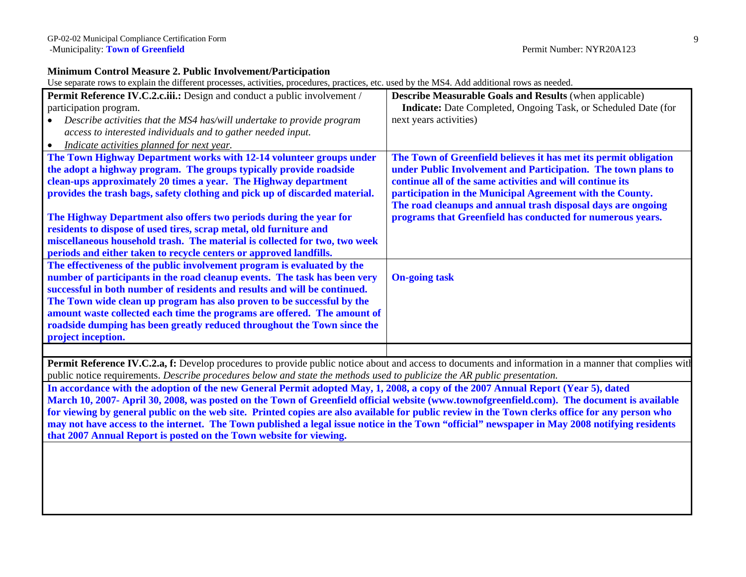### **Minimum Control Measure 2. Public Involvement/Participation**

Use separate rows to explain the different processes, activities, procedures, practices, etc. used by the MS4. Add additional rows as needed.

| <b>Indicate:</b> Date Completed, Ongoing Task, or Scheduled Date (for<br>participation program.<br>next years activities)<br>Describe activities that the MS4 has/will undertake to provide program<br>access to interested individuals and to gather needed input.<br>Indicate activities planned for next year.<br>The Town Highway Department works with 12-14 volunteer groups under<br>The Town of Greenfield believes it has met its permit obligation<br>the adopt a highway program. The groups typically provide roadside<br>under Public Involvement and Participation. The town plans to<br>clean-ups approximately 20 times a year. The Highway department<br>continue all of the same activities and will continue its<br>provides the trash bags, safety clothing and pick up of discarded material.<br>participation in the Municipal Agreement with the County.<br>The road cleanups and annual trash disposal days are ongoing<br>programs that Greenfield has conducted for numerous years.<br>The Highway Department also offers two periods during the year for<br>residents to dispose of used tires, scrap metal, old furniture and<br>miscellaneous household trash. The material is collected for two, two week<br>periods and either taken to recycle centers or approved landfills.<br>The effectiveness of the public involvement program is evaluated by the<br>number of participants in the road cleanup events. The task has been very<br><b>On-going task</b><br>successful in both number of residents and results and will be continued. | Permit Reference IV.C.2.c.iii.: Design and conduct a public involvement / | <b>Describe Measurable Goals and Results (when applicable)</b> |
|----------------------------------------------------------------------------------------------------------------------------------------------------------------------------------------------------------------------------------------------------------------------------------------------------------------------------------------------------------------------------------------------------------------------------------------------------------------------------------------------------------------------------------------------------------------------------------------------------------------------------------------------------------------------------------------------------------------------------------------------------------------------------------------------------------------------------------------------------------------------------------------------------------------------------------------------------------------------------------------------------------------------------------------------------------------------------------------------------------------------------------------------------------------------------------------------------------------------------------------------------------------------------------------------------------------------------------------------------------------------------------------------------------------------------------------------------------------------------------------------------------------------------------------------------------------------------|---------------------------------------------------------------------------|----------------------------------------------------------------|
|                                                                                                                                                                                                                                                                                                                                                                                                                                                                                                                                                                                                                                                                                                                                                                                                                                                                                                                                                                                                                                                                                                                                                                                                                                                                                                                                                                                                                                                                                                                                                                            |                                                                           |                                                                |
|                                                                                                                                                                                                                                                                                                                                                                                                                                                                                                                                                                                                                                                                                                                                                                                                                                                                                                                                                                                                                                                                                                                                                                                                                                                                                                                                                                                                                                                                                                                                                                            |                                                                           |                                                                |
|                                                                                                                                                                                                                                                                                                                                                                                                                                                                                                                                                                                                                                                                                                                                                                                                                                                                                                                                                                                                                                                                                                                                                                                                                                                                                                                                                                                                                                                                                                                                                                            |                                                                           |                                                                |
|                                                                                                                                                                                                                                                                                                                                                                                                                                                                                                                                                                                                                                                                                                                                                                                                                                                                                                                                                                                                                                                                                                                                                                                                                                                                                                                                                                                                                                                                                                                                                                            |                                                                           |                                                                |
|                                                                                                                                                                                                                                                                                                                                                                                                                                                                                                                                                                                                                                                                                                                                                                                                                                                                                                                                                                                                                                                                                                                                                                                                                                                                                                                                                                                                                                                                                                                                                                            |                                                                           |                                                                |
|                                                                                                                                                                                                                                                                                                                                                                                                                                                                                                                                                                                                                                                                                                                                                                                                                                                                                                                                                                                                                                                                                                                                                                                                                                                                                                                                                                                                                                                                                                                                                                            |                                                                           |                                                                |
|                                                                                                                                                                                                                                                                                                                                                                                                                                                                                                                                                                                                                                                                                                                                                                                                                                                                                                                                                                                                                                                                                                                                                                                                                                                                                                                                                                                                                                                                                                                                                                            |                                                                           |                                                                |
|                                                                                                                                                                                                                                                                                                                                                                                                                                                                                                                                                                                                                                                                                                                                                                                                                                                                                                                                                                                                                                                                                                                                                                                                                                                                                                                                                                                                                                                                                                                                                                            |                                                                           |                                                                |
|                                                                                                                                                                                                                                                                                                                                                                                                                                                                                                                                                                                                                                                                                                                                                                                                                                                                                                                                                                                                                                                                                                                                                                                                                                                                                                                                                                                                                                                                                                                                                                            |                                                                           |                                                                |
|                                                                                                                                                                                                                                                                                                                                                                                                                                                                                                                                                                                                                                                                                                                                                                                                                                                                                                                                                                                                                                                                                                                                                                                                                                                                                                                                                                                                                                                                                                                                                                            |                                                                           |                                                                |
|                                                                                                                                                                                                                                                                                                                                                                                                                                                                                                                                                                                                                                                                                                                                                                                                                                                                                                                                                                                                                                                                                                                                                                                                                                                                                                                                                                                                                                                                                                                                                                            |                                                                           |                                                                |
|                                                                                                                                                                                                                                                                                                                                                                                                                                                                                                                                                                                                                                                                                                                                                                                                                                                                                                                                                                                                                                                                                                                                                                                                                                                                                                                                                                                                                                                                                                                                                                            |                                                                           |                                                                |
|                                                                                                                                                                                                                                                                                                                                                                                                                                                                                                                                                                                                                                                                                                                                                                                                                                                                                                                                                                                                                                                                                                                                                                                                                                                                                                                                                                                                                                                                                                                                                                            |                                                                           |                                                                |
|                                                                                                                                                                                                                                                                                                                                                                                                                                                                                                                                                                                                                                                                                                                                                                                                                                                                                                                                                                                                                                                                                                                                                                                                                                                                                                                                                                                                                                                                                                                                                                            |                                                                           |                                                                |
|                                                                                                                                                                                                                                                                                                                                                                                                                                                                                                                                                                                                                                                                                                                                                                                                                                                                                                                                                                                                                                                                                                                                                                                                                                                                                                                                                                                                                                                                                                                                                                            |                                                                           |                                                                |
|                                                                                                                                                                                                                                                                                                                                                                                                                                                                                                                                                                                                                                                                                                                                                                                                                                                                                                                                                                                                                                                                                                                                                                                                                                                                                                                                                                                                                                                                                                                                                                            |                                                                           |                                                                |
|                                                                                                                                                                                                                                                                                                                                                                                                                                                                                                                                                                                                                                                                                                                                                                                                                                                                                                                                                                                                                                                                                                                                                                                                                                                                                                                                                                                                                                                                                                                                                                            | The Town wide clean up program has also proven to be successful by the    |                                                                |
| amount waste collected each time the programs are offered. The amount of                                                                                                                                                                                                                                                                                                                                                                                                                                                                                                                                                                                                                                                                                                                                                                                                                                                                                                                                                                                                                                                                                                                                                                                                                                                                                                                                                                                                                                                                                                   |                                                                           |                                                                |
| roadside dumping has been greatly reduced throughout the Town since the                                                                                                                                                                                                                                                                                                                                                                                                                                                                                                                                                                                                                                                                                                                                                                                                                                                                                                                                                                                                                                                                                                                                                                                                                                                                                                                                                                                                                                                                                                    |                                                                           |                                                                |
| project inception.                                                                                                                                                                                                                                                                                                                                                                                                                                                                                                                                                                                                                                                                                                                                                                                                                                                                                                                                                                                                                                                                                                                                                                                                                                                                                                                                                                                                                                                                                                                                                         |                                                                           |                                                                |
|                                                                                                                                                                                                                                                                                                                                                                                                                                                                                                                                                                                                                                                                                                                                                                                                                                                                                                                                                                                                                                                                                                                                                                                                                                                                                                                                                                                                                                                                                                                                                                            |                                                                           |                                                                |

**Permit Reference IV.C.2.a, f:** Develop procedures to provide public notice about and access to documents and information in a manner that complies with public notice requirements. *Describe procedures below and state the methods used to publicize the AR public presentation.*

**In accordance with the adoption of the new General Permit adopted May, 1, 2008, a copy of the 2007 Annual Report (Year 5), dated March 10, 2007- April 30, 2008, was posted on the Town of Greenfield official website (www.townofgreenfield.com). The document is available for viewing by general public on the web site. Printed copies are also available for public review in the Town clerks office for any person who may not have access to the internet. The Town published a legal issue notice in the Town "official" newspaper in May 2008 notifying residents that 2007 Annual Report is posted on the Town website for viewing.**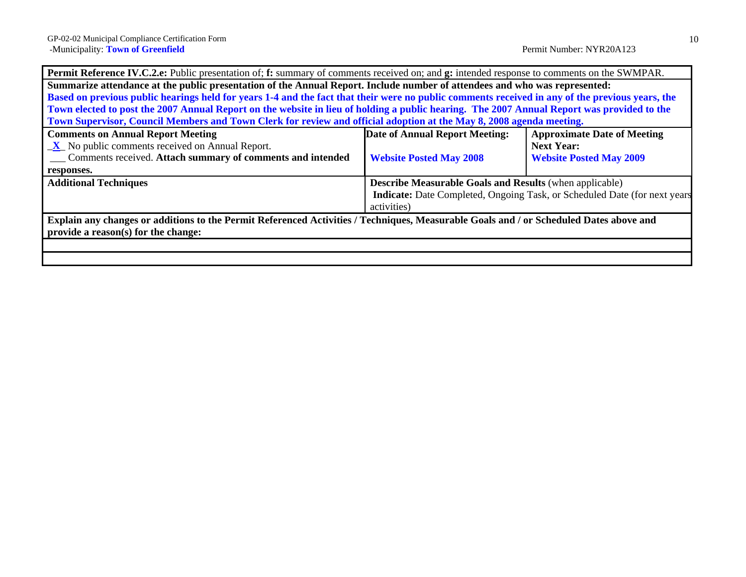| <b>Permit Reference IV.C.2.e:</b> Public presentation of; f: summary of comments received on; and g: intended response to comments on the SWMPAR. |                                                                |                                                                                  |
|---------------------------------------------------------------------------------------------------------------------------------------------------|----------------------------------------------------------------|----------------------------------------------------------------------------------|
| Summarize attendance at the public presentation of the Annual Report. Include number of attendees and who was represented:                        |                                                                |                                                                                  |
| Based on previous public hearings held for years 1-4 and the fact that their were no public comments received in any of the previous years, the   |                                                                |                                                                                  |
| Town elected to post the 2007 Annual Report on the website in lieu of holding a public hearing. The 2007 Annual Report was provided to the        |                                                                |                                                                                  |
| Town Supervisor, Council Members and Town Clerk for review and official adoption at the May 8, 2008 agenda meeting.                               |                                                                |                                                                                  |
| <b>Comments on Annual Report Meeting</b>                                                                                                          | Date of Annual Report Meeting:                                 | <b>Approximate Date of Meeting</b>                                               |
| $X$ No public comments received on Annual Report.                                                                                                 |                                                                | <b>Next Year:</b>                                                                |
| Comments received. Attach summary of comments and intended                                                                                        | <b>Website Posted May 2008</b>                                 | <b>Website Posted May 2009</b>                                                   |
| responses.                                                                                                                                        |                                                                |                                                                                  |
| <b>Additional Techniques</b>                                                                                                                      | <b>Describe Measurable Goals and Results</b> (when applicable) |                                                                                  |
|                                                                                                                                                   |                                                                | <b>Indicate:</b> Date Completed, Ongoing Task, or Scheduled Date (for next years |
|                                                                                                                                                   | activities)                                                    |                                                                                  |
| Explain any changes or additions to the Permit Referenced Activities / Techniques, Measurable Goals and / or Scheduled Dates above and            |                                                                |                                                                                  |
| provide a reason(s) for the change:                                                                                                               |                                                                |                                                                                  |
|                                                                                                                                                   |                                                                |                                                                                  |
|                                                                                                                                                   |                                                                |                                                                                  |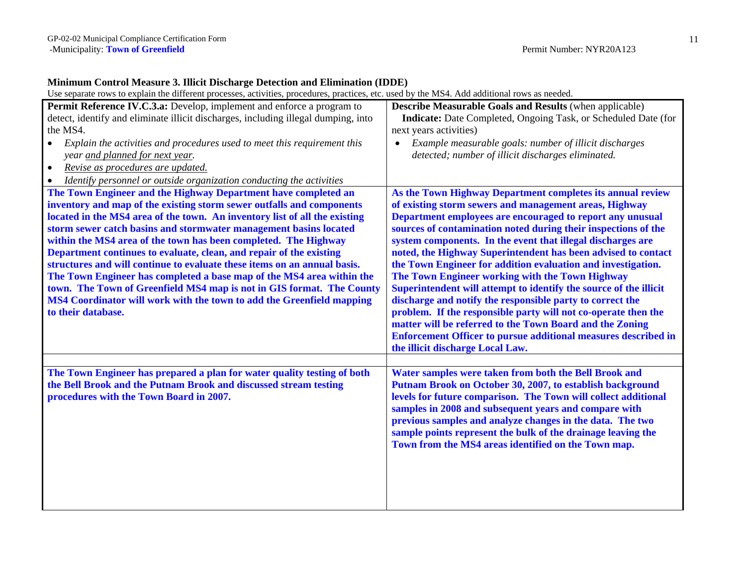## **Minimum Control Measure 3. Illicit Discharge Detection and Elimination (IDDE)**

| <b>Permit Reference IV.C.3.a:</b> Develop, implement and enforce a program to                                                               | <b>Describe Measurable Goals and Results (when applicable)</b>        |
|---------------------------------------------------------------------------------------------------------------------------------------------|-----------------------------------------------------------------------|
| detect, identify and eliminate illicit discharges, including illegal dumping, into                                                          | <b>Indicate:</b> Date Completed, Ongoing Task, or Scheduled Date (for |
| the MS4.                                                                                                                                    | next years activities)                                                |
| Explain the activities and procedures used to meet this requirement this<br>$\bullet$                                                       | Example measurable goals: number of illicit discharges<br>$\bullet$   |
| year and planned for next year.                                                                                                             | detected; number of illicit discharges eliminated.                    |
| Revise as procedures are updated.<br>$\bullet$                                                                                              |                                                                       |
| Identify personnel or outside organization conducting the activities                                                                        |                                                                       |
| The Town Engineer and the Highway Department have completed an                                                                              | As the Town Highway Department completes its annual review            |
| inventory and map of the existing storm sewer outfalls and components                                                                       | of existing storm sewers and management areas, Highway                |
| located in the MS4 area of the town. An inventory list of all the existing                                                                  | Department employees are encouraged to report any unusual             |
| storm sewer catch basins and stormwater management basins located                                                                           | sources of contamination noted during their inspections of the        |
| within the MS4 area of the town has been completed. The Highway                                                                             | system components. In the event that illegal discharges are           |
| Department continues to evaluate, clean, and repair of the existing                                                                         | noted, the Highway Superintendent has been advised to contact         |
| structures and will continue to evaluate these items on an annual basis.                                                                    | the Town Engineer for addition evaluation and investigation.          |
| The Town Engineer has completed a base map of the MS4 area within the                                                                       | The Town Engineer working with the Town Highway                       |
| town. The Town of Greenfield MS4 map is not in GIS format. The County                                                                       | Superintendent will attempt to identify the source of the illicit     |
| MS4 Coordinator will work with the town to add the Greenfield mapping                                                                       | discharge and notify the responsible party to correct the             |
| to their database.                                                                                                                          | problem. If the responsible party will not co-operate then the        |
|                                                                                                                                             | matter will be referred to the Town Board and the Zoning              |
|                                                                                                                                             | <b>Enforcement Officer to pursue additional measures described in</b> |
|                                                                                                                                             | the illicit discharge Local Law.                                      |
|                                                                                                                                             | Water samples were taken from both the Bell Brook and                 |
| The Town Engineer has prepared a plan for water quality testing of both<br>the Bell Brook and the Putnam Brook and discussed stream testing | Putnam Brook on October 30, 2007, to establish background             |
| procedures with the Town Board in 2007.                                                                                                     | levels for future comparison. The Town will collect additional        |
|                                                                                                                                             | samples in 2008 and subsequent years and compare with                 |
|                                                                                                                                             | previous samples and analyze changes in the data. The two             |
|                                                                                                                                             | sample points represent the bulk of the drainage leaving the          |
|                                                                                                                                             | Town from the MS4 areas identified on the Town map.                   |
|                                                                                                                                             |                                                                       |
|                                                                                                                                             |                                                                       |
|                                                                                                                                             |                                                                       |
|                                                                                                                                             |                                                                       |
|                                                                                                                                             |                                                                       |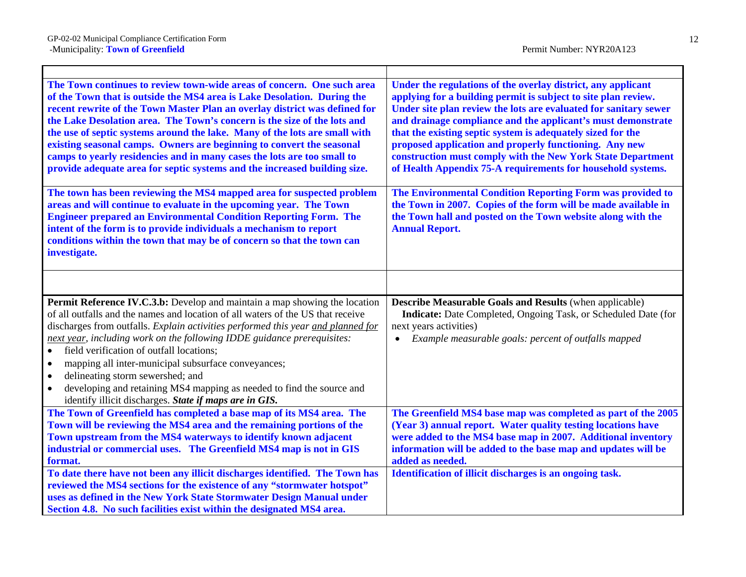$\Gamma$ 

| The Town continues to review town-wide areas of concern. One such area<br>of the Town that is outside the MS4 area is Lake Desolation. During the<br>recent rewrite of the Town Master Plan an overlay district was defined for<br>the Lake Desolation area. The Town's concern is the size of the lots and<br>the use of septic systems around the lake. Many of the lots are small with<br>existing seasonal camps. Owners are beginning to convert the seasonal<br>camps to yearly residencies and in many cases the lots are too small to<br>provide adequate area for septic systems and the increased building size.                                 | Under the regulations of the overlay district, any applicant<br>applying for a building permit is subject to site plan review.<br>Under site plan review the lots are evaluated for sanitary sewer<br>and drainage compliance and the applicant's must demonstrate<br>that the existing septic system is adequately sized for the<br>proposed application and properly functioning. Any new<br>construction must comply with the New York State Department<br>of Health Appendix 75-A requirements for household systems. |
|------------------------------------------------------------------------------------------------------------------------------------------------------------------------------------------------------------------------------------------------------------------------------------------------------------------------------------------------------------------------------------------------------------------------------------------------------------------------------------------------------------------------------------------------------------------------------------------------------------------------------------------------------------|---------------------------------------------------------------------------------------------------------------------------------------------------------------------------------------------------------------------------------------------------------------------------------------------------------------------------------------------------------------------------------------------------------------------------------------------------------------------------------------------------------------------------|
| The town has been reviewing the MS4 mapped area for suspected problem<br>areas and will continue to evaluate in the upcoming year. The Town<br><b>Engineer prepared an Environmental Condition Reporting Form. The</b><br>intent of the form is to provide individuals a mechanism to report<br>conditions within the town that may be of concern so that the town can<br>investigate.                                                                                                                                                                                                                                                                     | The Environmental Condition Reporting Form was provided to<br>the Town in 2007. Copies of the form will be made available in<br>the Town hall and posted on the Town website along with the<br><b>Annual Report.</b>                                                                                                                                                                                                                                                                                                      |
|                                                                                                                                                                                                                                                                                                                                                                                                                                                                                                                                                                                                                                                            |                                                                                                                                                                                                                                                                                                                                                                                                                                                                                                                           |
|                                                                                                                                                                                                                                                                                                                                                                                                                                                                                                                                                                                                                                                            |                                                                                                                                                                                                                                                                                                                                                                                                                                                                                                                           |
| Permit Reference IV.C.3.b: Develop and maintain a map showing the location<br>of all outfalls and the names and location of all waters of the US that receive<br>discharges from outfalls. Explain activities performed this year and planned for<br>next year, including work on the following IDDE guidance prerequisites:<br>field verification of outfall locations;<br>$\bullet$<br>mapping all inter-municipal subsurface conveyances;<br>$\bullet$<br>delineating storm sewershed; and<br>$\bullet$<br>developing and retaining MS4 mapping as needed to find the source and<br>$\bullet$<br>identify illicit discharges. State if maps are in GIS. | <b>Describe Measurable Goals and Results (when applicable)</b><br>Indicate: Date Completed, Ongoing Task, or Scheduled Date (for<br>next years activities)<br>Example measurable goals: percent of outfalls mapped<br>$\bullet$                                                                                                                                                                                                                                                                                           |
| The Town of Greenfield has completed a base map of its MS4 area. The<br>Town will be reviewing the MS4 area and the remaining portions of the<br>Town upstream from the MS4 waterways to identify known adjacent<br>industrial or commercial uses. The Greenfield MS4 map is not in GIS<br>format.<br>To date there have not been any illicit discharges identified. The Town has                                                                                                                                                                                                                                                                          | The Greenfield MS4 base map was completed as part of the 2005<br>(Year 3) annual report. Water quality testing locations have<br>were added to the MS4 base map in 2007. Additional inventory<br>information will be added to the base map and updates will be<br>added as needed.<br>Identification of illicit discharges is an ongoing task.                                                                                                                                                                            |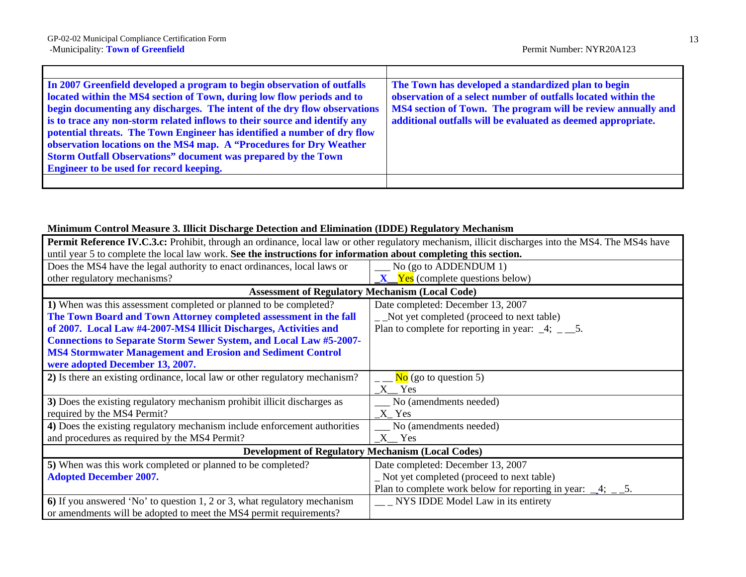$\mathbf{r}$ 

| In 2007 Greenfield developed a program to begin observation of outfalls    | The Town has developed a standardized plan to begin           |
|----------------------------------------------------------------------------|---------------------------------------------------------------|
| located within the MS4 section of Town, during low flow periods and to     | observation of a select number of outfalls located within the |
| begin documenting any discharges. The intent of the dry flow observations  | MS4 section of Town. The program will be review annually and  |
| is to trace any non-storm related inflows to their source and identify any | additional outfalls will be evaluated as deemed appropriate.  |
| potential threats. The Town Engineer has identified a number of dry flow   |                                                               |
| observation locations on the MS4 map. A "Procedures for Dry Weather        |                                                               |
| <b>Storm Outfall Observations" document was prepared by the Town</b>       |                                                               |
| <b>Engineer to be used for record keeping.</b>                             |                                                               |
|                                                                            |                                                               |

### **Minimum Control Measure 3. Illicit Discharge Detection and Elimination (IDDE) Regulatory Mechanism**

| <b>Permit Reference IV.C.3.c:</b> Prohibit, through an ordinance, local law or other regulatory mechanism, illicit discharges into the MS4. The MS4s have |                                                                         |  |
|-----------------------------------------------------------------------------------------------------------------------------------------------------------|-------------------------------------------------------------------------|--|
| until year 5 to complete the local law work. See the instructions for information about completing this section.                                          |                                                                         |  |
| Does the MS4 have the legal authority to enact ordinances, local laws or                                                                                  | No (go to ADDENDUM 1)                                                   |  |
| other regulatory mechanisms?                                                                                                                              | $X$ Yes (complete questions below)                                      |  |
| <b>Assessment of Regulatory Mechanism (Local Code)</b>                                                                                                    |                                                                         |  |
| 1) When was this assessment completed or planned to be completed?                                                                                         | Date completed: December 13, 2007                                       |  |
| The Town Board and Town Attorney completed assessment in the fall                                                                                         | _ _Not yet completed (proceed to next table)                            |  |
| of 2007. Local Law #4-2007-MS4 Illicit Discharges, Activities and                                                                                         | Plan to complete for reporting in year: $\frac{4}{2}$ , $\frac{5}{2}$ . |  |
| <b>Connections to Separate Storm Sewer System, and Local Law #5-2007-</b>                                                                                 |                                                                         |  |
| <b>MS4 Stormwater Management and Erosion and Sediment Control</b>                                                                                         |                                                                         |  |
| were adopted December 13, 2007.                                                                                                                           |                                                                         |  |
| 2) Is there an existing ordinance, local law or other regulatory mechanism?                                                                               | $\frac{N_0}{1 - N_0}$ (go to question 5)                                |  |
|                                                                                                                                                           | $X_{s}$ Yes                                                             |  |
| 3) Does the existing regulatory mechanism prohibit illicit discharges as                                                                                  | No (amendments needed)                                                  |  |
| required by the MS4 Permit?                                                                                                                               | X Yes                                                                   |  |
| 4) Does the existing regulatory mechanism include enforcement authorities                                                                                 | No (amendments needed)                                                  |  |
| and procedures as required by the MS4 Permit?                                                                                                             | $X1$ Yes                                                                |  |
| <b>Development of Regulatory Mechanism (Local Codes)</b>                                                                                                  |                                                                         |  |
| 5) When was this work completed or planned to be completed?                                                                                               | Date completed: December 13, 2007                                       |  |
| <b>Adopted December 2007.</b>                                                                                                                             | Not yet completed (proceed to next table)                               |  |
|                                                                                                                                                           | Plan to complete work below for reporting in year: $\_\_4$ ; $\_\_5$ .  |  |
| 6) If you answered 'No' to question 1, 2 or 3, what regulatory mechanism                                                                                  | __ NYS IDDE Model Law in its entirety                                   |  |
| or amendments will be adopted to meet the MS4 permit requirements?                                                                                        |                                                                         |  |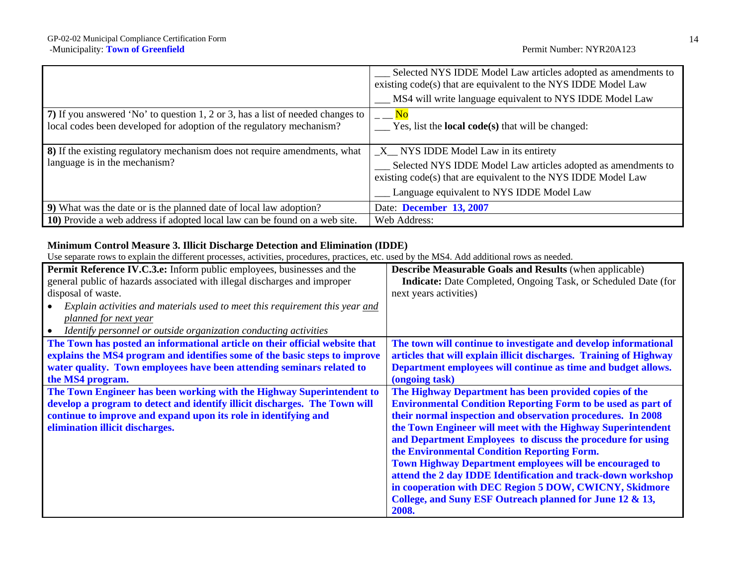|                                                                                                                                                        | Selected NYS IDDE Model Law articles adopted as amendments to<br>existing code(s) that are equivalent to the NYS IDDE Model Law<br>MS4 will write language equivalent to NYS IDDE Model Law                            |
|--------------------------------------------------------------------------------------------------------------------------------------------------------|------------------------------------------------------------------------------------------------------------------------------------------------------------------------------------------------------------------------|
| 7) If you answered 'No' to question 1, 2 or 3, has a list of needed changes to<br>local codes been developed for adoption of the regulatory mechanism? | $\overline{\phantom{a}} = \underline{\mathbf{N}\mathbf{o}}$<br>Yes, list the <b>local code(s)</b> that will be changed:                                                                                                |
| 8) If the existing regulatory mechanism does not require amendments, what<br>language is in the mechanism?                                             | $X$ NYS IDDE Model Law in its entirety<br>Selected NYS IDDE Model Law articles adopted as amendments to<br>existing code(s) that are equivalent to the NYS IDDE Model Law<br>Language equivalent to NYS IDDE Model Law |
| 9) What was the date or is the planned date of local law adoption?                                                                                     | Date: December 13, 2007                                                                                                                                                                                                |
| 10) Provide a web address if adopted local law can be found on a web site.                                                                             | Web Address:                                                                                                                                                                                                           |

# **Minimum Control Measure 3. Illicit Discharge Detection and Elimination (IDDE)**

| Permit Reference IV.C.3.e: Inform public employees, businesses and the       | Describe Measurable Goals and Results (when applicable)               |
|------------------------------------------------------------------------------|-----------------------------------------------------------------------|
| general public of hazards associated with illegal discharges and improper    | <b>Indicate:</b> Date Completed, Ongoing Task, or Scheduled Date (for |
| disposal of waste.                                                           | next years activities)                                                |
| Explain activities and materials used to meet this requirement this year and |                                                                       |
| planned for next year                                                        |                                                                       |
| Identify personnel or outside organization conducting activities             |                                                                       |
| The Town has posted an informational article on their official website that  | The town will continue to investigate and develop informational       |
| explains the MS4 program and identifies some of the basic steps to improve   | articles that will explain illicit discharges. Training of Highway    |
| water quality. Town employees have been attending seminars related to        | Department employees will continue as time and budget allows.         |
| the MS4 program.                                                             | (ongoing task)                                                        |
| The Town Engineer has been working with the Highway Superintendent to        | The Highway Department has been provided copies of the                |
| develop a program to detect and identify illicit discharges. The Town will   | <b>Environmental Condition Reporting Form to be used as part of</b>   |
| continue to improve and expand upon its role in identifying and              | their normal inspection and observation procedures. In 2008           |
| elimination illicit discharges.                                              | the Town Engineer will meet with the Highway Superintendent           |
|                                                                              | and Department Employees to discuss the procedure for using           |
|                                                                              | the Environmental Condition Reporting Form.                           |
|                                                                              | <b>Town Highway Department employees will be encouraged to</b>        |
|                                                                              | attend the 2 day IDDE Identification and track-down workshop          |
|                                                                              | in cooperation with DEC Region 5 DOW, CWICNY, Skidmore                |
|                                                                              | College, and Suny ESF Outreach planned for June 12 & 13,              |
|                                                                              | 2008.                                                                 |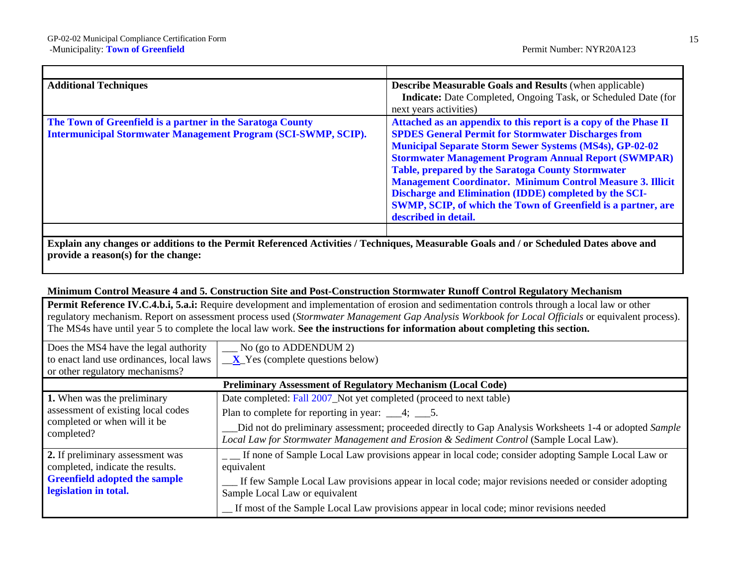| <b>Additional Techniques</b>                                                                                                        | <b>Describe Measurable Goals and Results (when applicable)</b><br>Indicate: Date Completed, Ongoing Task, or Scheduled Date (for<br>next years activities)                                                                                                                                                                                                                                                                                                                                                                                          |
|-------------------------------------------------------------------------------------------------------------------------------------|-----------------------------------------------------------------------------------------------------------------------------------------------------------------------------------------------------------------------------------------------------------------------------------------------------------------------------------------------------------------------------------------------------------------------------------------------------------------------------------------------------------------------------------------------------|
| The Town of Greenfield is a partner in the Saratoga County<br><b>Intermunicipal Stormwater Management Program (SCI-SWMP, SCIP).</b> | Attached as an appendix to this report is a copy of the Phase II<br><b>SPDES General Permit for Stormwater Discharges from</b><br><b>Municipal Separate Storm Sewer Systems (MS4s), GP-02-02</b><br><b>Stormwater Management Program Annual Report (SWMPAR)</b><br><b>Table, prepared by the Saratoga County Stormwater</b><br><b>Management Coordinator. Minimum Control Measure 3. Illicit</b><br>Discharge and Elimination (IDDE) completed by the SCI-<br>SWMP, SCIP, of which the Town of Greenfield is a partner, are<br>described in detail. |

#### **Minimum Control Measure 4 and 5. Construction Site and Post-Construction Stormwater Runoff Control Regulatory Mechanism**

**Permit Reference IV.C.4.b.i, 5.a.i:** Require development and implementation of erosion and sedimentation controls through a local law or other regulatory mechanism. Report on assessment process used (*Stormwater Management Gap Analysis Workbook for Local Officials* or equivalent process). The MS4s have until year 5 to complete the local law work. **See the instructions for information about completing this section.** 

| Does the MS4 have the legal authority                                            | $\frac{1}{2}$ No (go to ADDENDUM 2)                                                                                                                                                              |  |  |
|----------------------------------------------------------------------------------|--------------------------------------------------------------------------------------------------------------------------------------------------------------------------------------------------|--|--|
| to enact land use ordinances, local laws                                         | $\mathbf{X}$ Yes (complete questions below)                                                                                                                                                      |  |  |
| or other regulatory mechanisms?                                                  |                                                                                                                                                                                                  |  |  |
|                                                                                  | <b>Preliminary Assessment of Regulatory Mechanism (Local Code)</b>                                                                                                                               |  |  |
| 1. When was the preliminary                                                      | Date completed: Fall 2007_Not yet completed (proceed to next table)                                                                                                                              |  |  |
| assessment of existing local codes<br>completed or when will it be<br>completed? | Plan to complete for reporting in year: $\_\_\_4$ ; $\_\_5$ .                                                                                                                                    |  |  |
|                                                                                  | Did not do preliminary assessment; proceeded directly to Gap Analysis Worksheets 1-4 or adopted Sample<br>Local Law for Stormwater Management and Erosion & Sediment Control (Sample Local Law). |  |  |
| 2. If preliminary assessment was                                                 | If none of Sample Local Law provisions appear in local code; consider adopting Sample Local Law or                                                                                               |  |  |
| completed, indicate the results.                                                 | equivalent                                                                                                                                                                                       |  |  |
| <b>Greenfield adopted the sample</b>                                             | If few Sample Local Law provisions appear in local code; major revisions needed or consider adopting                                                                                             |  |  |
| legislation in total.                                                            | Sample Local Law or equivalent                                                                                                                                                                   |  |  |
|                                                                                  | _ If most of the Sample Local Law provisions appear in local code; minor revisions needed                                                                                                        |  |  |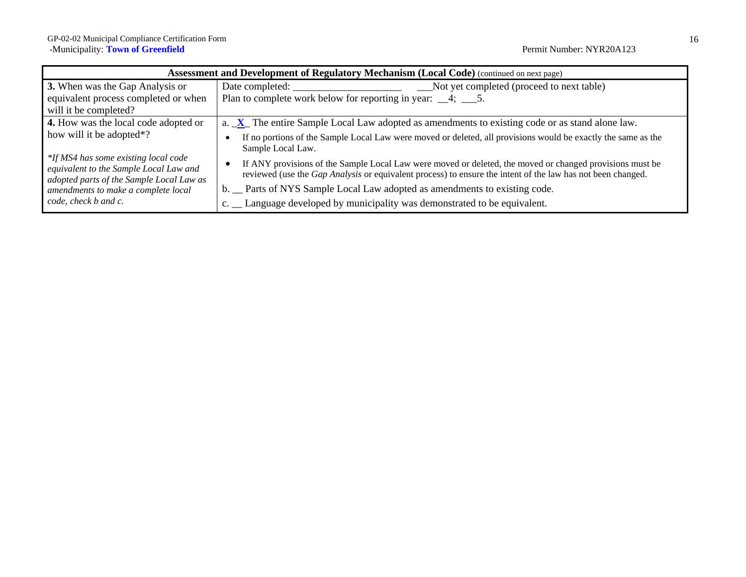| <b>Assessment and Development of Regulatory Mechanism (Local Code)</b> (continued on next page)                            |                                                                                                                                                                                                                                |  |
|----------------------------------------------------------------------------------------------------------------------------|--------------------------------------------------------------------------------------------------------------------------------------------------------------------------------------------------------------------------------|--|
| 3. When was the Gap Analysis or                                                                                            | Date completed:<br>Not yet completed (proceed to next table)                                                                                                                                                                   |  |
| equivalent process completed or when                                                                                       | Plan to complete work below for reporting in year: $\_\_4$ ; $\_\_5$ .                                                                                                                                                         |  |
| will it be completed?                                                                                                      |                                                                                                                                                                                                                                |  |
| 4. How was the local code adopted or                                                                                       | a. X The entire Sample Local Law adopted as amendments to existing code or as stand alone law.                                                                                                                                 |  |
| how will it be adopted*?                                                                                                   | If no portions of the Sample Local Law were moved or deleted, all provisions would be exactly the same as the<br>Sample Local Law.                                                                                             |  |
| *If MS4 has some existing local code<br>equivalent to the Sample Local Law and<br>adopted parts of the Sample Local Law as | If ANY provisions of the Sample Local Law were moved or deleted, the moved or changed provisions must be<br>reviewed (use the <i>Gap Analysis</i> or equivalent process) to ensure the intent of the law has not been changed. |  |
| amendments to make a complete local                                                                                        | b. Parts of NYS Sample Local Law adopted as amendments to existing code.                                                                                                                                                       |  |
| code, check b and c.                                                                                                       | c. _ Language developed by municipality was demonstrated to be equivalent.                                                                                                                                                     |  |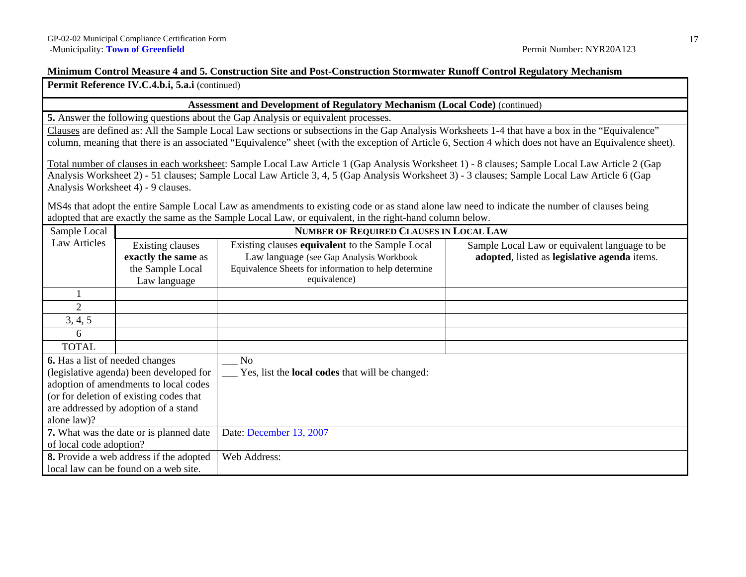#### **Minimum Control Measure 4 and 5. Construction Site and Post-Construction Stormwater Runoff Control Regulatory Mechanism**

**Permit Reference IV.C.4.b.i, 5.a.i** (continued)

#### **Assessment and Development of Regulatory Mechanism (Local Code)** (continued)

**5.** Answer the following questions about the Gap Analysis or equivalent processes.

Clauses are defined as: All the Sample Local Law sections or subsections in the Gap Analysis Worksheets 1-4 that have a box in the "Equivalence" column, meaning that there is an associated "Equivalence" sheet (with the exception of Article 6, Section 4 which does not have an Equivalence sheet).

Total number of clauses in each worksheet: Sample Local Law Article 1 (Gap Analysis Worksheet 1) - 8 clauses; Sample Local Law Article 2 (Gap Analysis Worksheet 2) - 51 clauses; Sample Local Law Article 3, 4, 5 (Gap Analysis Worksheet 3) - 3 clauses; Sample Local Law Article 6 (Gap Analysis Worksheet 4) - 9 clauses.

MS4s that adopt the entire Sample Local Law as amendments to existing code or as stand alone law need to indicate the number of clauses being adopted that are exactly the same as the Sample Local Law*,* or equivalent, in the right-hand column below.

| Sample Local                    |                                          | <b>NUMBER OF REQUIRED CLAUSES IN LOCAL LAW</b>         |                                               |
|---------------------------------|------------------------------------------|--------------------------------------------------------|-----------------------------------------------|
| Law Articles                    | Existing clauses                         | Existing clauses equivalent to the Sample Local        | Sample Local Law or equivalent language to be |
|                                 | exactly the same as                      | Law language (see Gap Analysis Workbook                | adopted, listed as legislative agenda items.  |
|                                 | the Sample Local                         | Equivalence Sheets for information to help determine   |                                               |
|                                 | Law language                             | equivalence)                                           |                                               |
|                                 |                                          |                                                        |                                               |
| 2                               |                                          |                                                        |                                               |
| 3, 4, 5                         |                                          |                                                        |                                               |
| 6                               |                                          |                                                        |                                               |
| <b>TOTAL</b>                    |                                          |                                                        |                                               |
| 6. Has a list of needed changes |                                          | No.                                                    |                                               |
|                                 | (legislative agenda) been developed for  | Yes, list the <b>local codes</b> that will be changed: |                                               |
|                                 | adoption of amendments to local codes    |                                                        |                                               |
|                                 | (or for deletion of existing codes that) |                                                        |                                               |
|                                 | are addressed by adoption of a stand     |                                                        |                                               |
| alone law)?                     |                                          |                                                        |                                               |
|                                 | 7. What was the date or is planned date  | Date: December 13, 2007                                |                                               |
| of local code adoption?         |                                          |                                                        |                                               |
|                                 | 8. Provide a web address if the adopted  | Web Address:                                           |                                               |
|                                 | local law can be found on a web site.    |                                                        |                                               |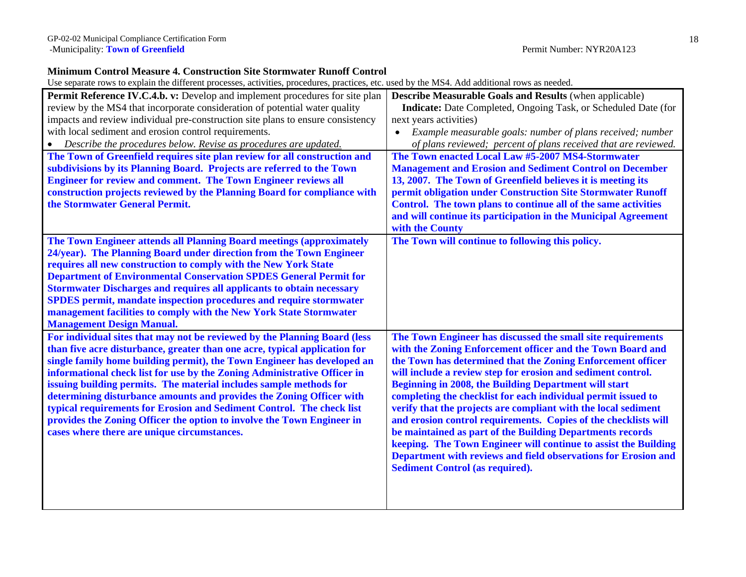## **Minimum Control Measure 4. Construction Site Stormwater Runoff Control**

| Permit Reference IV.C.4.b. v: Develop and implement procedures for site plan    | <b>Describe Measurable Goals and Results (when applicable)</b>          |
|---------------------------------------------------------------------------------|-------------------------------------------------------------------------|
| review by the MS4 that incorporate consideration of potential water quality     | Indicate: Date Completed, Ongoing Task, or Scheduled Date (for          |
| impacts and review individual pre-construction site plans to ensure consistency | next years activities)                                                  |
| with local sediment and erosion control requirements.                           | Example measurable goals: number of plans received; number<br>$\bullet$ |
| Describe the procedures below. Revise as procedures are updated.<br>$\bullet$   | of plans reviewed; percent of plans received that are reviewed.         |
| The Town of Greenfield requires site plan review for all construction and       | The Town enacted Local Law #5-2007 MS4-Stormwater                       |
| subdivisions by its Planning Board. Projects are referred to the Town           | <b>Management and Erosion and Sediment Control on December</b>          |
| <b>Engineer for review and comment. The Town Engineer reviews all</b>           | 13, 2007. The Town of Greenfield believes it is meeting its             |
| construction projects reviewed by the Planning Board for compliance with        | permit obligation under Construction Site Stormwater Runoff             |
| the Stormwater General Permit.                                                  | Control. The town plans to continue all of the same activities          |
|                                                                                 | and will continue its participation in the Municipal Agreement          |
|                                                                                 | with the County                                                         |
| The Town Engineer attends all Planning Board meetings (approximately            | The Town will continue to following this policy.                        |
| 24/year). The Planning Board under direction from the Town Engineer             |                                                                         |
| requires all new construction to comply with the New York State                 |                                                                         |
| <b>Department of Environmental Conservation SPDES General Permit for</b>        |                                                                         |
| <b>Stormwater Discharges and requires all applicants to obtain necessary</b>    |                                                                         |
| <b>SPDES</b> permit, mandate inspection procedures and require stormwater       |                                                                         |
| management facilities to comply with the New York State Stormwater              |                                                                         |
| <b>Management Design Manual.</b>                                                |                                                                         |
| For individual sites that may not be reviewed by the Planning Board (less       | The Town Engineer has discussed the small site requirements             |
| than five acre disturbance, greater than one acre, typical application for      | with the Zoning Enforcement officer and the Town Board and              |
| single family home building permit), the Town Engineer has developed an         | the Town has determined that the Zoning Enforcement officer             |
| informational check list for use by the Zoning Administrative Officer in        | will include a review step for erosion and sediment control.            |
| issuing building permits. The material includes sample methods for              | Beginning in 2008, the Building Department will start                   |
| determining disturbance amounts and provides the Zoning Officer with            | completing the checklist for each individual permit issued to           |
| typical requirements for Erosion and Sediment Control. The check list           | verify that the projects are compliant with the local sediment          |
| provides the Zoning Officer the option to involve the Town Engineer in          | and erosion control requirements. Copies of the checklists will         |
| cases where there are unique circumstances.                                     | be maintained as part of the Building Departments records               |
|                                                                                 | keeping. The Town Engineer will continue to assist the Building         |
|                                                                                 | Department with reviews and field observations for Erosion and          |
|                                                                                 | <b>Sediment Control (as required).</b>                                  |
|                                                                                 |                                                                         |
|                                                                                 |                                                                         |
|                                                                                 |                                                                         |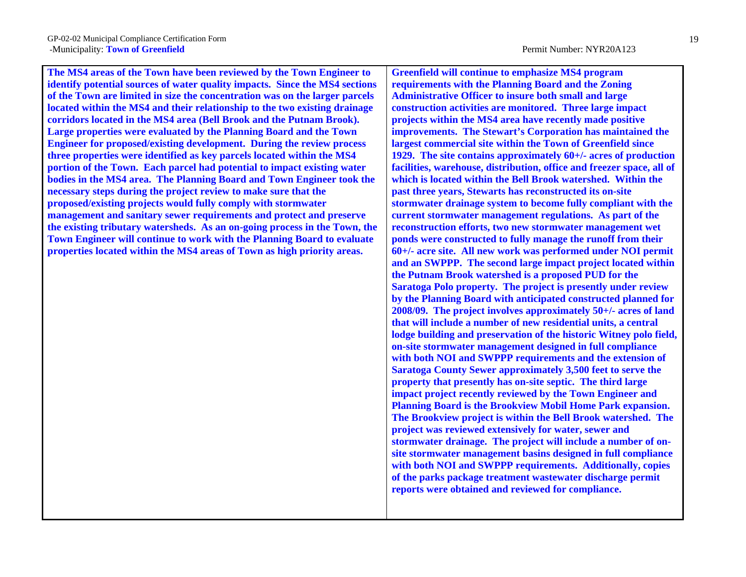**The MS4 areas of the Town have been reviewed by the Town Engineer to identify potential sources of water quality impacts. Since the MS4 sections of the Town are limited in size the concentration was on the larger parcels located within the MS4 and their relationship to the two existing drainage corridors located in the MS4 area (Bell Brook and the Putnam Brook). Large properties were evaluated by the Planning Board and the Town Engineer for proposed/existing development. During the review process three properties were identified as key parcels located within the MS4 portion of the Town. Each parcel had potential to impact existing water bodies in the MS4 area. The Planning Board and Town Engineer took the necessary steps during the project review to make sure that the proposed/existing projects would fully comply with stormwater management and sanitary sewer requirements and protect and preserve the existing tributary watersheds. As an on-going process in the Town, the Town Engineer will continue to work with the Planning Board to evaluate properties located within the MS4 areas of Town as high priority areas.** 

**Greenfield will continue to emphasize MS4 program requirements with the Planning Board and the Zoning Administrative Officer to insure both small and large construction activities are monitored. Three large impact projects within the MS4 area have recently made positive improvements. The Stewart's Corporation has maintained the largest commercial site within the Town of Greenfield since 1929. The site contains approximately 60+/- acres of production facilities, warehouse, distribution, office and freezer space, all of which is located within the Bell Brook watershed. Within the past three years, Stewarts has reconstructed its on-site stormwater drainage system to become fully compliant with the current stormwater management regulations. As part of the reconstruction efforts, two new stormwater management wet ponds were constructed to fully manage the runoff from their 60+/- acre site. All new work was performed under NOI permit and an SWPPP. The second large impact project located within the Putnam Brook watershed is a proposed PUD for the Saratoga Polo property. The project is presently under review by the Planning Board with anticipated constructed planned for 2008/09. The project involves approximately 50+/- acres of land that will include a number of new residential units, a central lodge building and preservation of the historic Witney polo field, on-site stormwater management designed in full compliance with both NOI and SWPPP requirements and the extension of Saratoga County Sewer approximately 3,500 feet to serve the property that presently has on-site septic. The third large impact project recently reviewed by the Town Engineer and Planning Board is the Brookview Mobil Home Park expansion. The Brookview project is within the Bell Brook watershed. The project was reviewed extensively for water, sewer and stormwater drainage. The project will include a number of onsite stormwater management basins designed in full compliance with both NOI and SWPPP requirements. Additionally, copies of the parks package treatment wastewater discharge permit reports were obtained and reviewed for compliance.**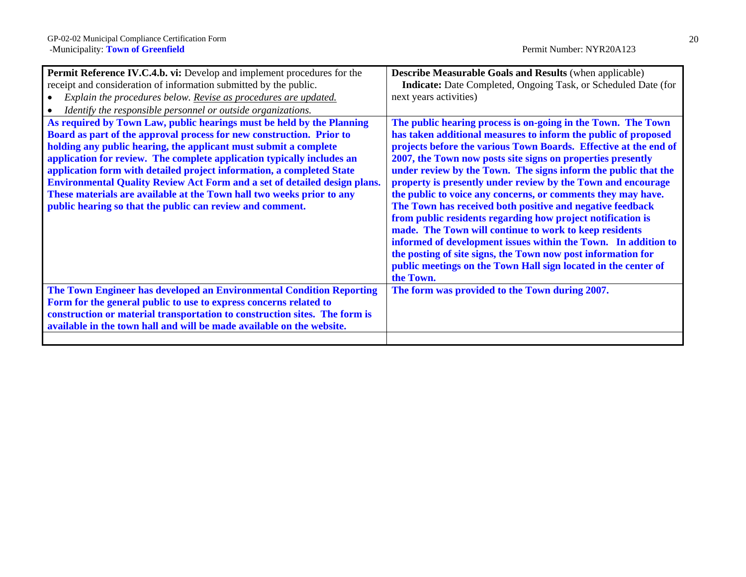| <b>Permit Reference IV.C.4.b. vi:</b> Develop and implement procedures for the   | <b>Describe Measurable Goals and Results (when applicable)</b>        |
|----------------------------------------------------------------------------------|-----------------------------------------------------------------------|
| receipt and consideration of information submitted by the public.                | <b>Indicate:</b> Date Completed, Ongoing Task, or Scheduled Date (for |
| Explain the procedures below. Revise as procedures are updated.                  | next years activities)                                                |
| Identify the responsible personnel or outside organizations.                     |                                                                       |
| As required by Town Law, public hearings must be held by the Planning            | The public hearing process is on-going in the Town. The Town          |
| Board as part of the approval process for new construction. Prior to             | has taken additional measures to inform the public of proposed        |
| holding any public hearing, the applicant must submit a complete                 | projects before the various Town Boards. Effective at the end of      |
| application for review. The complete application typically includes an           | 2007, the Town now posts site signs on properties presently           |
| application form with detailed project information, a completed State            | under review by the Town. The signs inform the public that the        |
| <b>Environmental Quality Review Act Form and a set of detailed design plans.</b> | property is presently under review by the Town and encourage          |
| These materials are available at the Town hall two weeks prior to any            | the public to voice any concerns, or comments they may have.          |
| public hearing so that the public can review and comment.                        | The Town has received both positive and negative feedback             |
|                                                                                  | from public residents regarding how project notification is           |
|                                                                                  | made. The Town will continue to work to keep residents                |
|                                                                                  | informed of development issues within the Town. In addition to        |
|                                                                                  | the posting of site signs, the Town now post information for          |
|                                                                                  | public meetings on the Town Hall sign located in the center of        |
|                                                                                  | the Town.                                                             |
| The Town Engineer has developed an Environmental Condition Reporting             | The form was provided to the Town during 2007.                        |
| Form for the general public to use to express concerns related to                |                                                                       |
| construction or material transportation to construction sites. The form is       |                                                                       |
| available in the town hall and will be made available on the website.            |                                                                       |
|                                                                                  |                                                                       |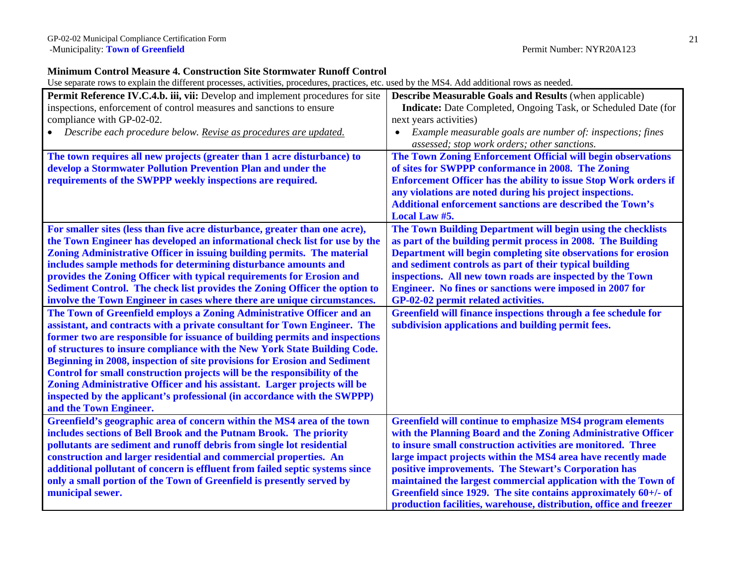### **Minimum Control Measure 4. Construction Site Stormwater Runoff Control**

| Permit Reference IV.C.4.b. iii, vii: Develop and implement procedures for site | <b>Describe Measurable Goals and Results (when applicable)</b>          |
|--------------------------------------------------------------------------------|-------------------------------------------------------------------------|
|                                                                                |                                                                         |
| inspections, enforcement of control measures and sanctions to ensure           | Indicate: Date Completed, Ongoing Task, or Scheduled Date (for          |
| compliance with GP-02-02.                                                      | next years activities)                                                  |
| Describe each procedure below. Revise as procedures are updated.               | Example measurable goals are number of: inspections; fines              |
|                                                                                | assessed; stop work orders; other sanctions.                            |
| The town requires all new projects (greater than 1 acre disturbance) to        | The Town Zoning Enforcement Official will begin observations            |
| develop a Stormwater Pollution Prevention Plan and under the                   | of sites for SWPPP conformance in 2008. The Zoning                      |
| requirements of the SWPPP weekly inspections are required.                     | <b>Enforcement Officer has the ability to issue Stop Work orders if</b> |
|                                                                                | any violations are noted during his project inspections.                |
|                                                                                | <b>Additional enforcement sanctions are described the Town's</b>        |
|                                                                                | Local Law #5.                                                           |
| For smaller sites (less than five acre disturbance, greater than one acre),    | The Town Building Department will begin using the checklists            |
| the Town Engineer has developed an informational check list for use by the     | as part of the building permit process in 2008. The Building            |
| Zoning Administrative Officer in issuing building permits. The material        | Department will begin completing site observations for erosion          |
| includes sample methods for determining disturbance amounts and                | and sediment controls as part of their typical building                 |
| provides the Zoning Officer with typical requirements for Erosion and          | inspections. All new town roads are inspected by the Town               |
| Sediment Control. The check list provides the Zoning Officer the option to     | <b>Engineer.</b> No fines or sanctions were imposed in 2007 for         |
| involve the Town Engineer in cases where there are unique circumstances.       | GP-02-02 permit related activities.                                     |
| The Town of Greenfield employs a Zoning Administrative Officer and an          | Greenfield will finance inspections through a fee schedule for          |
| assistant, and contracts with a private consultant for Town Engineer. The      | subdivision applications and building permit fees.                      |
| former two are responsible for issuance of building permits and inspections    |                                                                         |
| of structures to insure compliance with the New York State Building Code.      |                                                                         |
| Beginning in 2008, inspection of site provisions for Erosion and Sediment      |                                                                         |
| Control for small construction projects will be the responsibility of the      |                                                                         |
| Zoning Administrative Officer and his assistant. Larger projects will be       |                                                                         |
| inspected by the applicant's professional (in accordance with the SWPPP)       |                                                                         |
| and the Town Engineer.                                                         |                                                                         |
| Greenfield's geographic area of concern within the MS4 area of the town        | <b>Greenfield will continue to emphasize MS4 program elements</b>       |
| includes sections of Bell Brook and the Putnam Brook. The priority             | with the Planning Board and the Zoning Administrative Officer           |
| pollutants are sediment and runoff debris from single lot residential          | to insure small construction activities are monitored. Three            |
| construction and larger residential and commercial properties. An              | large impact projects within the MS4 area have recently made            |
|                                                                                |                                                                         |
| additional pollutant of concern is effluent from failed septic systems since   | positive improvements. The Stewart's Corporation has                    |
| only a small portion of the Town of Greenfield is presently served by          | maintained the largest commercial application with the Town of          |
| municipal sewer.                                                               | Greenfield since 1929. The site contains approximately $60+/-$ of       |
|                                                                                | production facilities, warehouse, distribution, office and freezer      |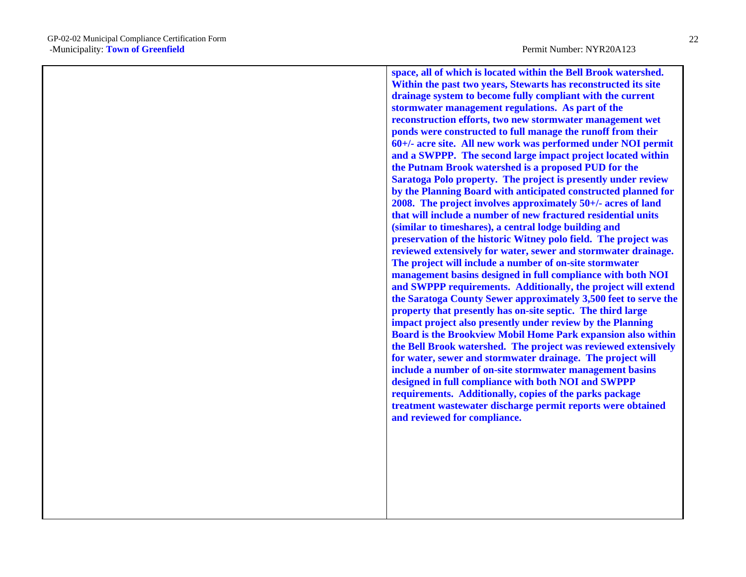**space, all of which is located within the Bell Brook watershed. Within the past two years, Stewarts has reconstructed its site drainage system to become fully compliant with the current stormwater management regulations. As part of the reconstruction efforts, two new stormwater management wet ponds were constructed to full manage the runoff from their 60+/- acre site. All new work was performed under NOI permit and a SWPPP. The second large impact project located within the Putnam Brook watershed is a proposed PUD for the Saratoga Polo property. The project is presently under review by the Planning Board with anticipated constructed planned for 2008. The project involves approximately 50+/- acres of land that will include a number of new fractured residential units (similar to timeshares), a central lodge building and preservation of the historic Witney polo field. The project was reviewed extensively for water, sewer and stormwater drainage. The project will include a number of on-site stormwater management basins designed in full compliance with both NOI and SWPPP requirements. Additionally, the project will extend the Saratoga County Sewer approximately 3,500 feet to serve the property that presently has on-site septic. The third large impact project also presently under review by the Planning Board is the Brookview Mobil Home Park expansion also within the Bell Brook watershed. The project was reviewed extensively for water, sewer and stormwater drainage. The project will include a number of on-site stormwater management basins designed in full compliance with both NOI and SWPPP requirements. Additionally, copies of the parks package treatment wastewater discharge permit reports were obtained and reviewed for compliance.**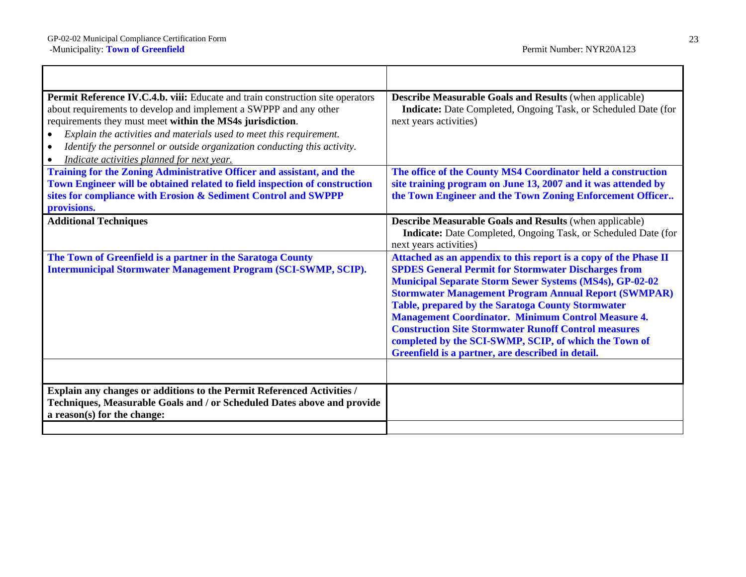<u> 1980 - Johann Barn, mars ann an t-Amhain Aonaich an t-Aonaich an t-Aonaich ann an t-Aonaich ann an t-Aonaich</u>

| Permit Reference IV.C.4.b. viii: Educate and train construction site operators<br>about requirements to develop and implement a SWPPP and any other<br>requirements they must meet within the MS4s jurisdiction.<br>Explain the activities and materials used to meet this requirement.<br>$\bullet$<br>Identify the personnel or outside organization conducting this activity.<br>Indicate activities planned for next year. | <b>Describe Measurable Goals and Results (when applicable)</b><br>Indicate: Date Completed, Ongoing Task, or Scheduled Date (for<br>next years activities)                                                                                                                                                                                                                                                                                                                                                                                                     |
|--------------------------------------------------------------------------------------------------------------------------------------------------------------------------------------------------------------------------------------------------------------------------------------------------------------------------------------------------------------------------------------------------------------------------------|----------------------------------------------------------------------------------------------------------------------------------------------------------------------------------------------------------------------------------------------------------------------------------------------------------------------------------------------------------------------------------------------------------------------------------------------------------------------------------------------------------------------------------------------------------------|
| Training for the Zoning Administrative Officer and assistant, and the<br>Town Engineer will be obtained related to field inspection of construction<br>sites for compliance with Erosion & Sediment Control and SWPPP<br>provisions.                                                                                                                                                                                           | The office of the County MS4 Coordinator held a construction<br>site training program on June 13, 2007 and it was attended by<br>the Town Engineer and the Town Zoning Enforcement Officer                                                                                                                                                                                                                                                                                                                                                                     |
| <b>Additional Techniques</b>                                                                                                                                                                                                                                                                                                                                                                                                   | <b>Describe Measurable Goals and Results (when applicable)</b><br>Indicate: Date Completed, Ongoing Task, or Scheduled Date (for<br>next years activities)                                                                                                                                                                                                                                                                                                                                                                                                     |
| The Town of Greenfield is a partner in the Saratoga County<br>Intermunicipal Stormwater Management Program (SCI-SWMP, SCIP).                                                                                                                                                                                                                                                                                                   | Attached as an appendix to this report is a copy of the Phase II<br><b>SPDES General Permit for Stormwater Discharges from</b><br><b>Municipal Separate Storm Sewer Systems (MS4s), GP-02-02</b><br><b>Stormwater Management Program Annual Report (SWMPAR)</b><br>Table, prepared by the Saratoga County Stormwater<br><b>Management Coordinator. Minimum Control Measure 4.</b><br><b>Construction Site Stormwater Runoff Control measures</b><br>completed by the SCI-SWMP, SCIP, of which the Town of<br>Greenfield is a partner, are described in detail. |
| Explain any changes or additions to the Permit Referenced Activities /<br>Techniques, Measurable Goals and / or Scheduled Dates above and provide<br>a reason(s) for the change:                                                                                                                                                                                                                                               |                                                                                                                                                                                                                                                                                                                                                                                                                                                                                                                                                                |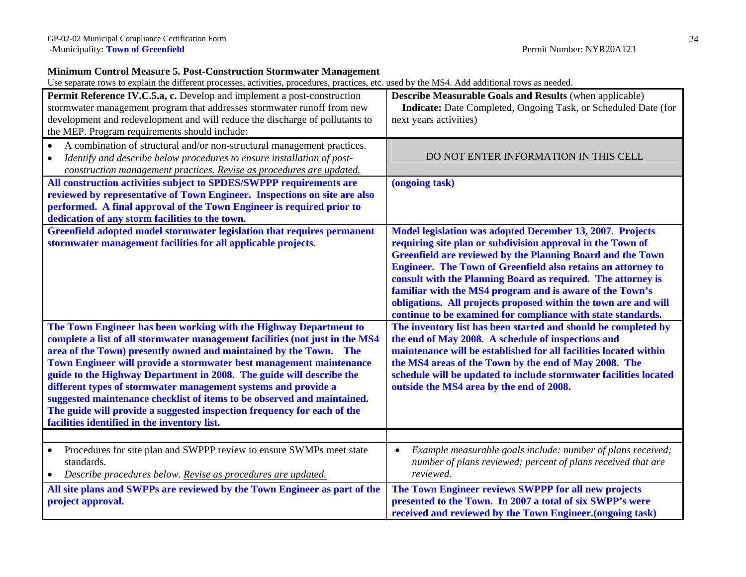### **Minimum Control Measure 5. Post-Construction Stormwater Management**

| <b>Permit Reference IV.C.5.a, c.</b> Develop and implement a post-construction<br>stormwater management program that addresses stormwater runoff from new<br>development and redevelopment and will reduce the discharge of pollutants to<br>the MEP. Program requirements should include:                                                                                                                                                                                                                                                                                                                                                    | <b>Describe Measurable Goals and Results (when applicable)</b><br>Indicate: Date Completed, Ongoing Task, or Scheduled Date (for<br>next years activities)                                                                                                                                                                                                                                                                                                                                                                         |
|-----------------------------------------------------------------------------------------------------------------------------------------------------------------------------------------------------------------------------------------------------------------------------------------------------------------------------------------------------------------------------------------------------------------------------------------------------------------------------------------------------------------------------------------------------------------------------------------------------------------------------------------------|------------------------------------------------------------------------------------------------------------------------------------------------------------------------------------------------------------------------------------------------------------------------------------------------------------------------------------------------------------------------------------------------------------------------------------------------------------------------------------------------------------------------------------|
| A combination of structural and/or non-structural management practices.<br>$\bullet$<br>Identify and describe below procedures to ensure installation of post-<br>$\bullet$<br>construction management practices. Revise as procedures are updated.                                                                                                                                                                                                                                                                                                                                                                                           | DO NOT ENTER INFORMATION IN THIS CELL                                                                                                                                                                                                                                                                                                                                                                                                                                                                                              |
| All construction activities subject to SPDES/SWPPP requirements are<br>reviewed by representative of Town Engineer. Inspections on site are also<br>performed. A final approval of the Town Engineer is required prior to<br>dedication of any storm facilities to the town.                                                                                                                                                                                                                                                                                                                                                                  | (ongoing task)                                                                                                                                                                                                                                                                                                                                                                                                                                                                                                                     |
| Greenfield adopted model stormwater legislation that requires permanent<br>stormwater management facilities for all applicable projects.                                                                                                                                                                                                                                                                                                                                                                                                                                                                                                      | Model legislation was adopted December 13, 2007. Projects<br>requiring site plan or subdivision approval in the Town of<br><b>Greenfield are reviewed by the Planning Board and the Town</b><br><b>Engineer. The Town of Greenfield also retains an attorney to</b><br>consult with the Planning Board as required. The attorney is<br>familiar with the MS4 program and is aware of the Town's<br>obligations. All projects proposed within the town are and will<br>continue to be examined for compliance with state standards. |
| The Town Engineer has been working with the Highway Department to<br>complete a list of all stormwater management facilities (not just in the MS4<br>area of the Town) presently owned and maintained by the Town. The<br>Town Engineer will provide a stormwater best management maintenance<br>guide to the Highway Department in 2008. The guide will describe the<br>different types of stormwater management systems and provide a<br>suggested maintenance checklist of items to be observed and maintained.<br>The guide will provide a suggested inspection frequency for each of the<br>facilities identified in the inventory list. | The inventory list has been started and should be completed by<br>the end of May 2008. A schedule of inspections and<br>maintenance will be established for all facilities located within<br>the MS4 areas of the Town by the end of May 2008. The<br>schedule will be updated to include stormwater facilities located<br>outside the MS4 area by the end of 2008.                                                                                                                                                                |
|                                                                                                                                                                                                                                                                                                                                                                                                                                                                                                                                                                                                                                               |                                                                                                                                                                                                                                                                                                                                                                                                                                                                                                                                    |
| Procedures for site plan and SWPPP review to ensure SWMPs meet state<br>$\bullet$<br>standards.<br>Describe procedures below. Revise as procedures are updated.<br>$\bullet$                                                                                                                                                                                                                                                                                                                                                                                                                                                                  | Example measurable goals include: number of plans received;<br>$\bullet$<br>number of plans reviewed; percent of plans received that are<br>reviewed.                                                                                                                                                                                                                                                                                                                                                                              |
| All site plans and SWPPs are reviewed by the Town Engineer as part of the<br>project approval.                                                                                                                                                                                                                                                                                                                                                                                                                                                                                                                                                | The Town Engineer reviews SWPPP for all new projects<br>presented to the Town. In 2007 a total of six SWPP's were<br>received and reviewed by the Town Engineer. (ongoing task)                                                                                                                                                                                                                                                                                                                                                    |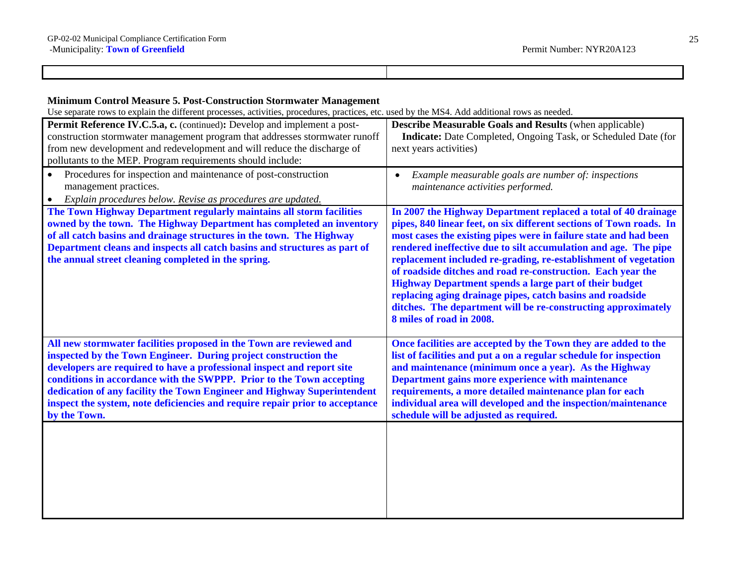Г

| <b>Minimum Control Measure 5. Post-Construction Stormwater Management</b><br>Use separate rows to explain the different processes, activities, procedures, practices, etc. used by the MS4. Add additional rows as needed.                                                                        |                                                                                                                                                                                                                                                                                           |
|---------------------------------------------------------------------------------------------------------------------------------------------------------------------------------------------------------------------------------------------------------------------------------------------------|-------------------------------------------------------------------------------------------------------------------------------------------------------------------------------------------------------------------------------------------------------------------------------------------|
| Permit Reference IV.C.5.a, c. (continued): Develop and implement a post-<br>construction stormwater management program that addresses stormwater runoff<br>from new development and redevelopment and will reduce the discharge of<br>pollutants to the MEP. Program requirements should include: | <b>Describe Measurable Goals and Results (when applicable)</b><br>Indicate: Date Completed, Ongoing Task, or Scheduled Date (for<br>next years activities)                                                                                                                                |
| Procedures for inspection and maintenance of post-construction                                                                                                                                                                                                                                    | Example measurable goals are number of: inspections<br>$\bullet$ . The contract of the contract of the contract of the contract of the contract of the contract of the contract of the contract of the contract of the contract of the contract of the contract of the contract of the co |

| Procedures for inspection and maintenance of post-construction                                                                                                                                                                                                                                                                                           | Example measurable goals are number of: inspections                                                                                                                                                                                                                                                                                                                                                                                                                                                                                                                                                                                       |
|----------------------------------------------------------------------------------------------------------------------------------------------------------------------------------------------------------------------------------------------------------------------------------------------------------------------------------------------------------|-------------------------------------------------------------------------------------------------------------------------------------------------------------------------------------------------------------------------------------------------------------------------------------------------------------------------------------------------------------------------------------------------------------------------------------------------------------------------------------------------------------------------------------------------------------------------------------------------------------------------------------------|
| management practices.                                                                                                                                                                                                                                                                                                                                    | $\bullet$                                                                                                                                                                                                                                                                                                                                                                                                                                                                                                                                                                                                                                 |
| Explain procedures below. Revise as procedures are updated.                                                                                                                                                                                                                                                                                              | maintenance activities performed.                                                                                                                                                                                                                                                                                                                                                                                                                                                                                                                                                                                                         |
| The Town Highway Department regularly maintains all storm facilities<br>owned by the town. The Highway Department has completed an inventory<br>of all catch basins and drainage structures in the town. The Highway<br>Department cleans and inspects all catch basins and structures as part of<br>the annual street cleaning completed in the spring. | In 2007 the Highway Department replaced a total of 40 drainage<br>pipes, 840 linear feet, on six different sections of Town roads. In<br>most cases the existing pipes were in failure state and had been<br>rendered ineffective due to silt accumulation and age. The pipe<br>replacement included re-grading, re-establishment of vegetation<br>of roadside ditches and road re-construction. Each year the<br><b>Highway Department spends a large part of their budget</b><br>replacing aging drainage pipes, catch basins and roadside<br>ditches. The department will be re-constructing approximately<br>8 miles of road in 2008. |
| All new stormwater facilities proposed in the Town are reviewed and                                                                                                                                                                                                                                                                                      | Once facilities are accepted by the Town they are added to the                                                                                                                                                                                                                                                                                                                                                                                                                                                                                                                                                                            |
| inspected by the Town Engineer. During project construction the                                                                                                                                                                                                                                                                                          | list of facilities and put a on a regular schedule for inspection                                                                                                                                                                                                                                                                                                                                                                                                                                                                                                                                                                         |
| developers are required to have a professional inspect and report site                                                                                                                                                                                                                                                                                   | and maintenance (minimum once a year). As the Highway                                                                                                                                                                                                                                                                                                                                                                                                                                                                                                                                                                                     |
| conditions in accordance with the SWPPP. Prior to the Town accepting                                                                                                                                                                                                                                                                                     | Department gains more experience with maintenance                                                                                                                                                                                                                                                                                                                                                                                                                                                                                                                                                                                         |
| dedication of any facility the Town Engineer and Highway Superintendent                                                                                                                                                                                                                                                                                  | requirements, a more detailed maintenance plan for each                                                                                                                                                                                                                                                                                                                                                                                                                                                                                                                                                                                   |
| inspect the system, note deficiencies and require repair prior to acceptance                                                                                                                                                                                                                                                                             | individual area will developed and the inspection/maintenance                                                                                                                                                                                                                                                                                                                                                                                                                                                                                                                                                                             |
| by the Town.                                                                                                                                                                                                                                                                                                                                             | schedule will be adjusted as required.                                                                                                                                                                                                                                                                                                                                                                                                                                                                                                                                                                                                    |
|                                                                                                                                                                                                                                                                                                                                                          |                                                                                                                                                                                                                                                                                                                                                                                                                                                                                                                                                                                                                                           |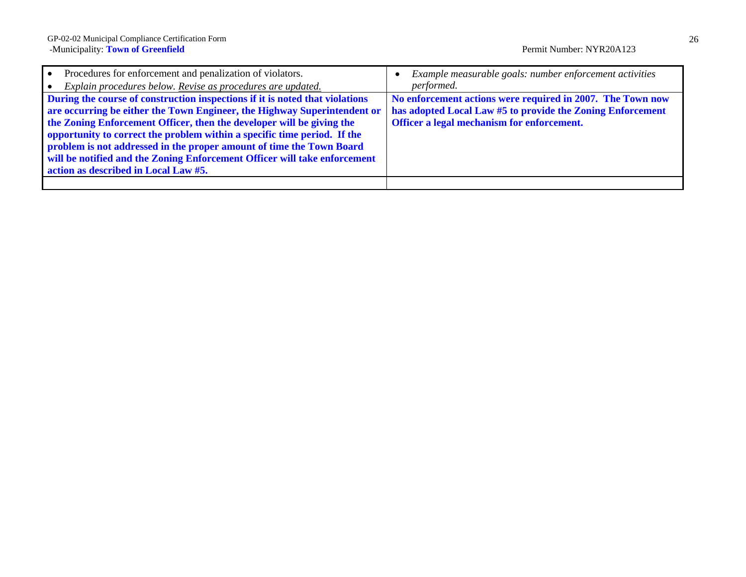| Procedures for enforcement and penalization of violators.                    | Example measurable goals: number enforcement activities    |
|------------------------------------------------------------------------------|------------------------------------------------------------|
| Explain procedures below. Revise as procedures are updated.                  | performed.                                                 |
| During the course of construction inspections if it is noted that violations | No enforcement actions were required in 2007. The Town now |
| are occurring be either the Town Engineer, the Highway Superintendent or     | has adopted Local Law #5 to provide the Zoning Enforcement |
| the Zoning Enforcement Officer, then the developer will be giving the        | Officer a legal mechanism for enforcement.                 |
| opportunity to correct the problem within a specific time period. If the     |                                                            |
| problem is not addressed in the proper amount of time the Town Board         |                                                            |
| will be notified and the Zoning Enforcement Officer will take enforcement    |                                                            |
| action as described in Local Law #5.                                         |                                                            |
|                                                                              |                                                            |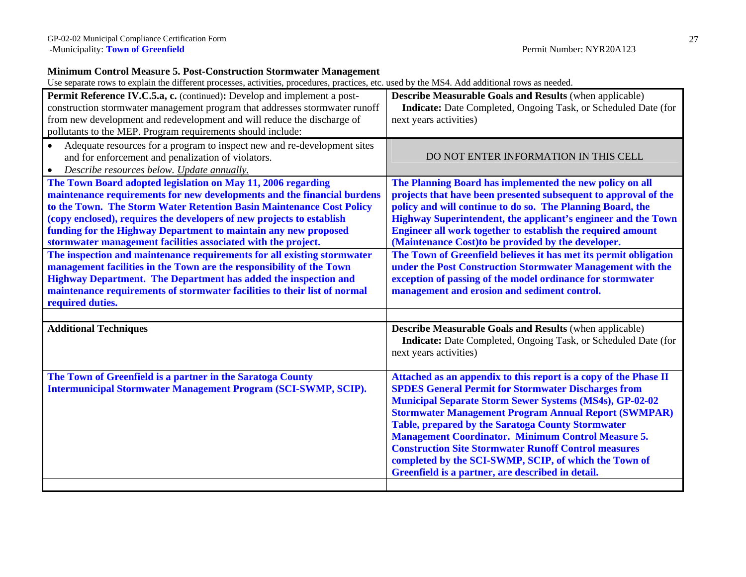### **Minimum Control Measure 5. Post-Construction Stormwater Management**

| Permit Reference IV.C.5.a, c. (continued): Develop and implement a post-<br>construction stormwater management program that addresses stormwater runoff<br>from new development and redevelopment and will reduce the discharge of<br>pollutants to the MEP. Program requirements should include:                                                                                                                            | Describe Measurable Goals and Results (when applicable)<br><b>Indicate:</b> Date Completed, Ongoing Task, or Scheduled Date (for<br>next years activities)                                                                                                                                                                                                                                                                                                                                                                                                            |
|------------------------------------------------------------------------------------------------------------------------------------------------------------------------------------------------------------------------------------------------------------------------------------------------------------------------------------------------------------------------------------------------------------------------------|-----------------------------------------------------------------------------------------------------------------------------------------------------------------------------------------------------------------------------------------------------------------------------------------------------------------------------------------------------------------------------------------------------------------------------------------------------------------------------------------------------------------------------------------------------------------------|
| Adequate resources for a program to inspect new and re-development sites<br>$\bullet$<br>and for enforcement and penalization of violators.<br>Describe resources below. Update annually.<br>$\bullet$                                                                                                                                                                                                                       | DO NOT ENTER INFORMATION IN THIS CELL                                                                                                                                                                                                                                                                                                                                                                                                                                                                                                                                 |
| The Town Board adopted legislation on May 11, 2006 regarding<br>maintenance requirements for new developments and the financial burdens<br>to the Town. The Storm Water Retention Basin Maintenance Cost Policy<br>(copy enclosed), requires the developers of new projects to establish<br>funding for the Highway Department to maintain any new proposed<br>stormwater management facilities associated with the project. | The Planning Board has implemented the new policy on all<br>projects that have been presented subsequent to approval of the<br>policy and will continue to do so. The Planning Board, the<br>Highway Superintendent, the applicant's engineer and the Town<br>Engineer all work together to establish the required amount<br>(Maintenance Cost) to be provided by the developer.                                                                                                                                                                                      |
| The inspection and maintenance requirements for all existing stormwater<br>management facilities in the Town are the responsibility of the Town<br><b>Highway Department. The Department has added the inspection and</b><br>maintenance requirements of stormwater facilities to their list of normal<br>required duties.                                                                                                   | The Town of Greenfield believes it has met its permit obligation<br>under the Post Construction Stormwater Management with the<br>exception of passing of the model ordinance for stormwater<br>management and erosion and sediment control.                                                                                                                                                                                                                                                                                                                          |
| <b>Additional Techniques</b>                                                                                                                                                                                                                                                                                                                                                                                                 | <b>Describe Measurable Goals and Results (when applicable)</b><br><b>Indicate:</b> Date Completed, Ongoing Task, or Scheduled Date (for<br>next years activities)                                                                                                                                                                                                                                                                                                                                                                                                     |
| The Town of Greenfield is a partner in the Saratoga County<br><b>Intermunicipal Stormwater Management Program (SCI-SWMP, SCIP).</b>                                                                                                                                                                                                                                                                                          | Attached as an appendix to this report is a copy of the Phase II<br><b>SPDES General Permit for Stormwater Discharges from</b><br><b>Municipal Separate Storm Sewer Systems (MS4s), GP-02-02</b><br><b>Stormwater Management Program Annual Report (SWMPAR)</b><br><b>Table, prepared by the Saratoga County Stormwater</b><br><b>Management Coordinator. Minimum Control Measure 5.</b><br><b>Construction Site Stormwater Runoff Control measures</b><br>completed by the SCI-SWMP, SCIP, of which the Town of<br>Greenfield is a partner, are described in detail. |
|                                                                                                                                                                                                                                                                                                                                                                                                                              |                                                                                                                                                                                                                                                                                                                                                                                                                                                                                                                                                                       |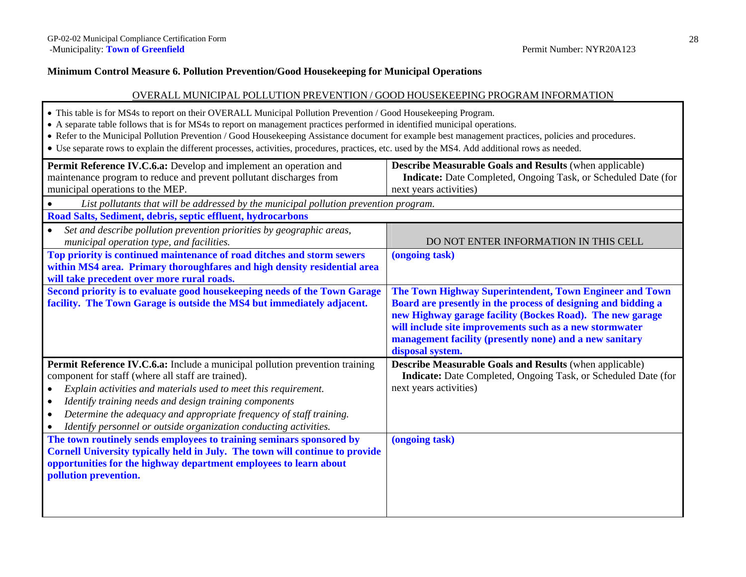### **Minimum Control Measure 6. Pollution Prevention/Good Housekeeping for Municipal Operations**

### OVERALL MUNICIPAL POLLUTION PREVENTION / GOOD HOUSEKEEPING PROGRAM INFORMATION

- This table is for MS4s to report on their OVERALL Municipal Pollution Prevention / Good Housekeeping Program.
- A separate table follows that is for MS4s to report on management practices performed in identified municipal operations.
- Refer to the Municipal Pollution Prevention / Good Housekeeping Assistance document for example best management practices, policies and procedures.
- Use separate rows to explain the different processes, activities, procedures, practices, etc. used by the MS4. Add additional rows as needed.

| Permit Reference IV.C.6.a: Develop and implement an operation and<br>maintenance program to reduce and prevent pollutant discharges from<br>municipal operations to the MEP.                                                                                                                                                                                                                                                    | <b>Describe Measurable Goals and Results (when applicable)</b><br>Indicate: Date Completed, Ongoing Task, or Scheduled Date (for<br>next years activities)                                                                                                                                                                      |
|---------------------------------------------------------------------------------------------------------------------------------------------------------------------------------------------------------------------------------------------------------------------------------------------------------------------------------------------------------------------------------------------------------------------------------|---------------------------------------------------------------------------------------------------------------------------------------------------------------------------------------------------------------------------------------------------------------------------------------------------------------------------------|
| List pollutants that will be addressed by the municipal pollution prevention program.                                                                                                                                                                                                                                                                                                                                           |                                                                                                                                                                                                                                                                                                                                 |
| Road Salts, Sediment, debris, septic effluent, hydrocarbons                                                                                                                                                                                                                                                                                                                                                                     |                                                                                                                                                                                                                                                                                                                                 |
| Set and describe pollution prevention priorities by geographic areas,<br>municipal operation type, and facilities.                                                                                                                                                                                                                                                                                                              | DO NOT ENTER INFORMATION IN THIS CELL                                                                                                                                                                                                                                                                                           |
| Top priority is continued maintenance of road ditches and storm sewers<br>within MS4 area. Primary thoroughfares and high density residential area<br>will take precedent over more rural roads.                                                                                                                                                                                                                                | (ongoing task)                                                                                                                                                                                                                                                                                                                  |
| Second priority is to evaluate good housekeeping needs of the Town Garage<br>facility. The Town Garage is outside the MS4 but immediately adjacent.                                                                                                                                                                                                                                                                             | The Town Highway Superintendent, Town Engineer and Town<br>Board are presently in the process of designing and bidding a<br>new Highway garage facility (Bockes Road). The new garage<br>will include site improvements such as a new stormwater<br>management facility (presently none) and a new sanitary<br>disposal system. |
| <b>Permit Reference IV.C.6.a:</b> Include a municipal pollution prevention training<br>component for staff (where all staff are trained).<br>Explain activities and materials used to meet this requirement.<br>Identify training needs and design training components<br>Determine the adequacy and appropriate frequency of staff training.<br>$\bullet$<br>Identify personnel or outside organization conducting activities. | <b>Describe Measurable Goals and Results (when applicable)</b><br>Indicate: Date Completed, Ongoing Task, or Scheduled Date (for<br>next years activities)                                                                                                                                                                      |
| The town routinely sends employees to training seminars sponsored by<br>Cornell University typically held in July. The town will continue to provide<br>opportunities for the highway department employees to learn about<br>pollution prevention.                                                                                                                                                                              | (ongoing task)                                                                                                                                                                                                                                                                                                                  |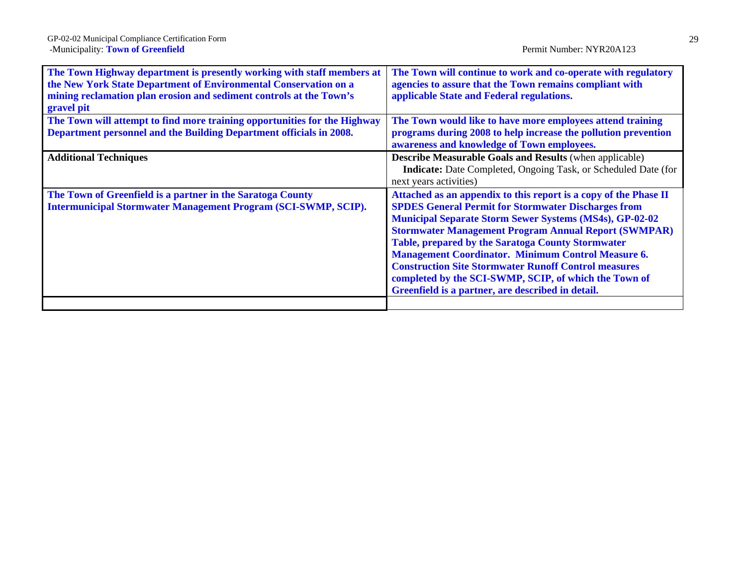| The Town Highway department is presently working with staff members at<br>the New York State Department of Environmental Conservation on a<br>mining reclamation plan erosion and sediment controls at the Town's<br>gravel pit | The Town will continue to work and co-operate with regulatory<br>agencies to assure that the Town remains compliant with<br>applicable State and Federal regulations.                                                                                                                                                                                                                                                                                                                                                                                                 |
|---------------------------------------------------------------------------------------------------------------------------------------------------------------------------------------------------------------------------------|-----------------------------------------------------------------------------------------------------------------------------------------------------------------------------------------------------------------------------------------------------------------------------------------------------------------------------------------------------------------------------------------------------------------------------------------------------------------------------------------------------------------------------------------------------------------------|
| The Town will attempt to find more training opportunities for the Highway                                                                                                                                                       | The Town would like to have more employees attend training                                                                                                                                                                                                                                                                                                                                                                                                                                                                                                            |
| Department personnel and the Building Department officials in 2008.                                                                                                                                                             | programs during 2008 to help increase the pollution prevention<br>awareness and knowledge of Town employees.                                                                                                                                                                                                                                                                                                                                                                                                                                                          |
| <b>Additional Techniques</b>                                                                                                                                                                                                    | <b>Describe Measurable Goals and Results (when applicable)</b><br><b>Indicate:</b> Date Completed, Ongoing Task, or Scheduled Date (for<br>next years activities)                                                                                                                                                                                                                                                                                                                                                                                                     |
| The Town of Greenfield is a partner in the Saratoga County<br><b>Intermunicipal Stormwater Management Program (SCI-SWMP, SCIP).</b>                                                                                             | Attached as an appendix to this report is a copy of the Phase II<br><b>SPDES General Permit for Stormwater Discharges from</b><br><b>Municipal Separate Storm Sewer Systems (MS4s), GP-02-02</b><br><b>Stormwater Management Program Annual Report (SWMPAR)</b><br><b>Table, prepared by the Saratoga County Stormwater</b><br><b>Management Coordinator. Minimum Control Measure 6.</b><br><b>Construction Site Stormwater Runoff Control measures</b><br>completed by the SCI-SWMP, SCIP, of which the Town of<br>Greenfield is a partner, are described in detail. |
|                                                                                                                                                                                                                                 |                                                                                                                                                                                                                                                                                                                                                                                                                                                                                                                                                                       |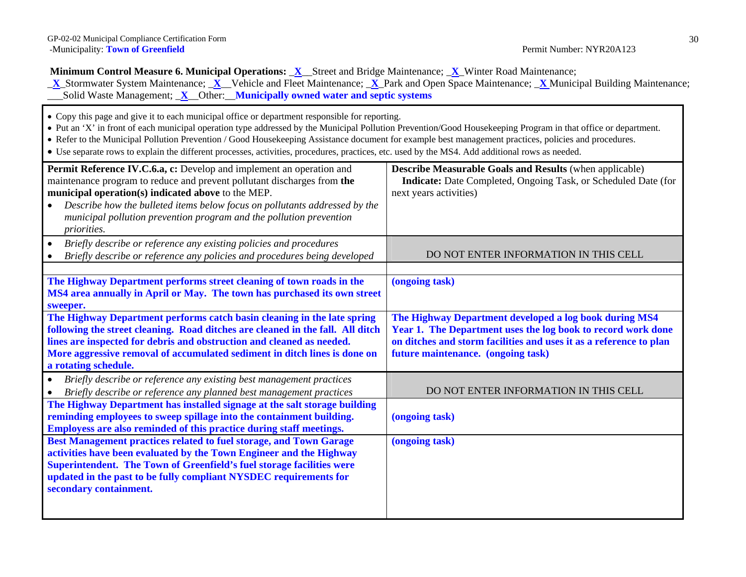**Minimum Control Measure 6. Municipal Operations: <u>X</u>\_Street and Bridge Maintenance; <u>X</u>\_Winter Road Maintenance;** 

\_ **X**\_Stormwater System Maintenance; \_**X**\_\_Vehicle and Fleet Maintenance; \_**X**\_Park and Open Space Maintenance; \_**X** Municipal Building Maintenance; \_\_\_Solid Waste Management; \_**X**\_\_Other:\_\_**Municipally owned water and septic systems**

- Copy this page and give it to each municipal office or department responsible for reporting.
- Put an 'X' in front of each municipal operation type addressed by the Municipal Pollution Prevention/Good Housekeeping Program in that office or department.
- Refer to the Municipal Pollution Prevention / Good Housekeeping Assistance document for example best management practices, policies and procedures.
- Use separate rows to explain the different processes, activities, procedures, practices, etc. used by the MS4. Add additional rows as needed.

| Permit Reference IV.C.6.a, c: Develop and implement an operation and<br>maintenance program to reduce and prevent pollutant discharges from the | <b>Describe Measurable Goals and Results (when applicable)</b><br>Indicate: Date Completed, Ongoing Task, or Scheduled Date (for |
|-------------------------------------------------------------------------------------------------------------------------------------------------|----------------------------------------------------------------------------------------------------------------------------------|
| municipal operation(s) indicated above to the MEP.                                                                                              | next years activities)                                                                                                           |
| Describe how the bulleted items below focus on pollutants addressed by the                                                                      |                                                                                                                                  |
| municipal pollution prevention program and the pollution prevention                                                                             |                                                                                                                                  |
| <i>priorities.</i>                                                                                                                              |                                                                                                                                  |
| Briefly describe or reference any existing policies and procedures<br>$\bullet$                                                                 |                                                                                                                                  |
| Briefly describe or reference any policies and procedures being developed                                                                       | DO NOT ENTER INFORMATION IN THIS CELL                                                                                            |
|                                                                                                                                                 |                                                                                                                                  |
| The Highway Department performs street cleaning of town roads in the                                                                            | (ongoing task)                                                                                                                   |
| MS4 area annually in April or May. The town has purchased its own street                                                                        |                                                                                                                                  |
| sweeper.                                                                                                                                        |                                                                                                                                  |
| The Highway Department performs catch basin cleaning in the late spring                                                                         | The Highway Department developed a log book during MS4                                                                           |
| following the street cleaning. Road ditches are cleaned in the fall. All ditch                                                                  | Year 1. The Department uses the log book to record work done                                                                     |
| lines are inspected for debris and obstruction and cleaned as needed.                                                                           | on ditches and storm facilities and uses it as a reference to plan                                                               |
| More aggressive removal of accumulated sediment in ditch lines is done on                                                                       | future maintenance. (ongoing task)                                                                                               |
| a rotating schedule.                                                                                                                            |                                                                                                                                  |
| Briefly describe or reference any existing best management practices<br>$\bullet$                                                               |                                                                                                                                  |
| Briefly describe or reference any planned best management practices                                                                             | DO NOT ENTER INFORMATION IN THIS CELL                                                                                            |
| The Highway Department has installed signage at the salt storage building                                                                       |                                                                                                                                  |
| reminding employees to sweep spillage into the containment building.                                                                            | (ongoing task)                                                                                                                   |
| Employess are also reminded of this practice during staff meetings.                                                                             |                                                                                                                                  |
| Best Management practices related to fuel storage, and Town Garage                                                                              | (ongoing task)                                                                                                                   |
| activities have been evaluated by the Town Engineer and the Highway                                                                             |                                                                                                                                  |
| Superintendent. The Town of Greenfield's fuel storage facilities were                                                                           |                                                                                                                                  |
| updated in the past to be fully compliant NYSDEC requirements for                                                                               |                                                                                                                                  |
| secondary containment.                                                                                                                          |                                                                                                                                  |
|                                                                                                                                                 |                                                                                                                                  |
|                                                                                                                                                 |                                                                                                                                  |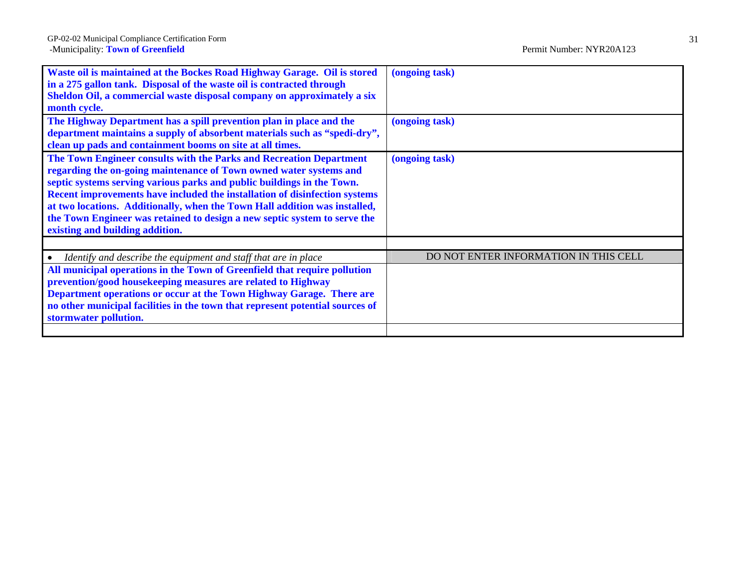| (ongoing task)                        |
|---------------------------------------|
| (ongoing task)                        |
| (ongoing task)                        |
|                                       |
| DO NOT ENTER INFORMATION IN THIS CELL |
|                                       |
|                                       |